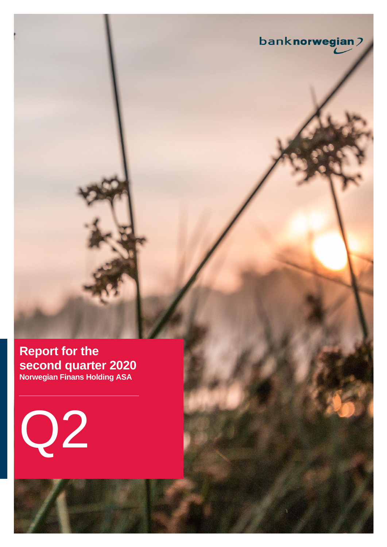**Report for the second quarter 2020 Norwegian Finans Holding ASA**

banknorwegian?

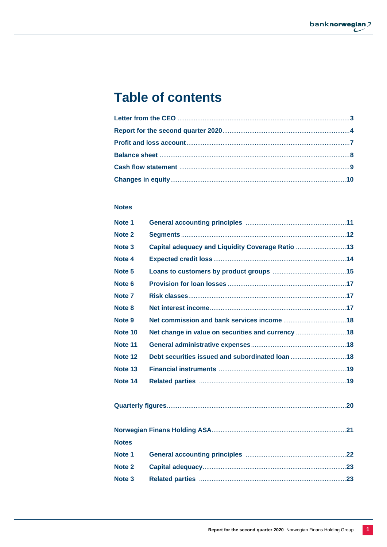# **Table of contents**

# **Notes**

| Note 1            |                                                   |  |
|-------------------|---------------------------------------------------|--|
| Note 2            |                                                   |  |
| Note <sub>3</sub> | Capital adequacy and Liquidity Coverage Ratio 13  |  |
| Note 4            |                                                   |  |
| Note <sub>5</sub> |                                                   |  |
| Note <sub>6</sub> |                                                   |  |
| Note <sub>7</sub> |                                                   |  |
| Note 8            |                                                   |  |
| Note 9            |                                                   |  |
| Note 10           | Net change in value on securities and currency 18 |  |
| Note 11           |                                                   |  |
| Note 12           | Debt securities issued and subordinated loan 18   |  |
| Note 13           |                                                   |  |
| Note 14           |                                                   |  |
|                   |                                                   |  |
|                   |                                                   |  |
| <b>Notes</b>      |                                                   |  |
| Note 1            |                                                   |  |
| Note 2            |                                                   |  |
| Note <sub>3</sub> |                                                   |  |
|                   |                                                   |  |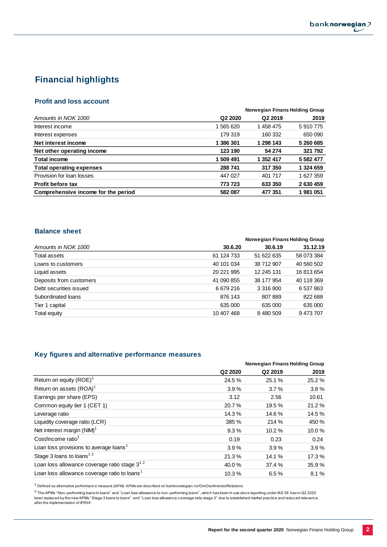# **Financial highlights**

## **Profit and loss account**

|                                     |                     | Norwegian Finans Holding Group |               |
|-------------------------------------|---------------------|--------------------------------|---------------|
| Amounts in NOK 1000                 | Q <sub>2</sub> 2020 | Q <sub>2</sub> 2019            | 2019          |
| Interest income                     | 1 565 620           | 1458475                        | 5910775       |
| Interest expenses                   | 179 319             | 160 332                        | 650 090       |
| Net interest income                 | 1 386 301           | 1 298 143                      | 5 260 685     |
| Net other operating income          | 123 190             | 54 274                         | 321 792       |
| <b>Total income</b>                 | 1 509 491           | 1 352 417                      | 5 5 8 2 4 7 7 |
| <b>Total operating expenses</b>     | 288 741             | 317 350                        | 1 324 659     |
| Provision for loan losses           | 447 027             | 401 717                        | 1 627 359     |
| <b>Profit before tax</b>            | 773 723             | 633 350                        | 2630459       |
| Comprehensive income for the period | 582 087             | 477 351                        | 1981051       |

## **Balance sheet**

|                         |            | Norwegian Finans Holding Group |            |
|-------------------------|------------|--------------------------------|------------|
| Amounts in NOK 1000     | 30.6.20    | 30.6.19                        | 31.12.19   |
| Total assets            | 61 124 733 | 51 622 635                     | 58 073 384 |
| Loans to customers      | 40 101 034 | 38 712 907                     | 40 560 502 |
| Liquid assets           | 20 221 995 | 12 245 131                     | 16813654   |
| Deposits from customers | 41 090 855 | 38 177 954                     | 40 118 369 |
| Debt securities issued  | 6 679 216  | 3 316 800                      | 6 537 863  |
| Subordinated loans      | 876 143    | 807889                         | 822 688    |
| Tier 1 capital          | 635 000    | 635 000                        | 635 000    |
| Total equity            | 10 407 468 | 8 480 509                      | 9473707    |

## **Key figures and alternative performance measures**

|                                                          |                     | Norwegian Finans Holding Group |       |  |  |  |
|----------------------------------------------------------|---------------------|--------------------------------|-------|--|--|--|
|                                                          | Q <sub>2</sub> 2020 | Q2 2019                        | 2019  |  |  |  |
| Return on equity $(ROE)^1$                               | 24.5 %              | 25.1 %                         | 25.2% |  |  |  |
| Return on assets (ROA) <sup>1</sup>                      | 3.9%                | 3.7%                           | 3.8%  |  |  |  |
| Earnings per share (EPS)                                 | 3.12                | 2.56                           | 10.61 |  |  |  |
| Common equity tier 1 (CET 1)                             | 20.7%               | 19.5 %                         | 21.2% |  |  |  |
| Leverage ratio                                           | 14.3%               | 14.6%                          | 14.5% |  |  |  |
| Liquidity coverage ratio (LCR)                           | 385 %               | 214 %                          | 450 % |  |  |  |
| Net interest margin (NIM) <sup>1</sup>                   | 9.3%                | 10.2%                          | 10.0% |  |  |  |
| Cost/income ratio <sup>1</sup>                           | 0.19                | 0.23                           | 0.24  |  |  |  |
| Loan loss provisions to average loans <sup>1</sup>       | 3.9%                | 3.9%                           | 3.9%  |  |  |  |
| Stage 3 loans to loans <sup>12</sup>                     | 21.3%               | 14.1%                          | 17.3% |  |  |  |
| Loan loss allowance coverage ratio stage $3^{12}$        | 40.0%               | 37.4 %                         | 35.9% |  |  |  |
| Loan loss allowance coverage ratio to loans <sup>1</sup> | 10.3%               | 6.5%                           | 8.1%  |  |  |  |
|                                                          |                     |                                |       |  |  |  |

 $1)$  Defined as alternative performance measure (APM). APMs are described on banknorwegian.no/OmOss/InvestorRelations

<sup>2)</sup> The APMs " Non-performing loans to loans" and "Loan loss allowance to non-performing loans", which has been in use since reporting under IAS 39, has in Q2 2020<br>been replaced by the new APMs "Stage 3 loans to loans" an after the implementation of IFRS9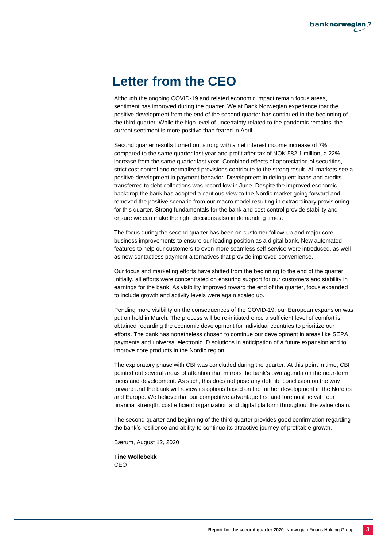# **Letter from the CEO**

Although the ongoing COVID-19 and related economic impact remain focus areas, sentiment has improved during the quarter. We at Bank Norwegian experience that the positive development from the end of the second quarter has continued in the beginning of the third quarter. While the high level of uncertainty related to the pandemic remains, the current sentiment is more positive than feared in April.

Second quarter results turned out strong with a net interest income increase of 7% compared to the same quarter last year and profit after tax of NOK 582.1 million, a 22% increase from the same quarter last year. Combined effects of appreciation of securities, strict cost control and normalized provisions contribute to the strong result. All markets see a positive development in payment behavior. Development in delinquent loans and credits transferred to debt collections was record low in June. Despite the improved economic backdrop the bank has adopted a cautious view to the Nordic market going forward and removed the positive scenario from our macro model resulting in extraordinary provisioning for this quarter. Strong fundamentals for the bank and cost control provide stability and ensure we can make the right decisions also in demanding times.

The focus during the second quarter has been on customer follow-up and major core business improvements to ensure our leading position as a digital bank. New automated features to help our customers to even more seamless self-service were introduced, as well as new contactless payment alternatives that provide improved convenience.

Our focus and marketing efforts have shifted from the beginning to the end of the quarter. Initially, all efforts were concentrated on ensuring support for our customers and stability in earnings for the bank. As visibility improved toward the end of the quarter, focus expanded to include growth and activity levels were again scaled up.

Pending more visibility on the consequences of the COVID-19, our European expansion was put on hold in March. The process will be re-initiated once a sufficient level of comfort is obtained regarding the economic development for individual countries to prioritize our efforts. The bank has nonetheless chosen to continue our development in areas like SEPA payments and universal electronic ID solutions in anticipation of a future expansion and to improve core products in the Nordic region.

The exploratory phase with CBI was concluded during the quarter. At this point in time, CBI pointed out several areas of attention that mirrors the bank's own agenda on the near-term focus and development. As such, this does not pose any definite conclusion on the way forward and the bank will review its options based on the further development in the Nordics and Europe. We believe that our competitive advantage first and foremost lie with our financial strength, cost efficient organization and digital platform throughout the value chain.

The second quarter and beginning of the third quarter provides good confirmation regarding the bank's resilience and ability to continue its attractive journey of profitable growth.

Bærum, August 12, 2020

**Tine Wollebekk** CEO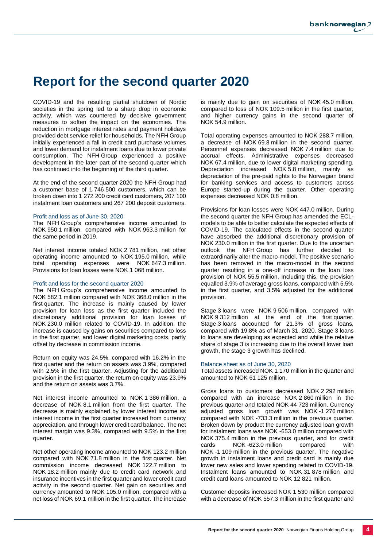# **Report for the second quarter 2020**

COVID-19 and the resulting partial shutdown of Nordic societies in the spring led to a sharp drop in economic activity, which was countered by decisive government measures to soften the impact on the economies. The reduction in mortgage interest rates and payment holidays provided debt service relief for households. The NFH Group initially experienced a fall in credit card purchase volumes and lower demand for instalment loans due to lower private consumption. The NFH Group experienced a positive development in the later part of the second quarter which has continued into the beginning of the third quarter.

At the end of the second quarter 2020 the NFH Group had a customer base of 1 746 500 customers, which can be broken down into 1 272 200 credit card customers, 207 100 instalment loan customers and 267 200 deposit customers.

#### Profit and loss as of June 30, 2020

The NFH Group's comprehensive income amounted to NOK 950.1 million, compared with NOK 963.3 million for the same period in 2019.

Net interest income totaled NOK 2 781 million, net other operating income amounted to NOK 195.0 million, while total operating expenses were NOK 647.3 million. Provisions for loan losses were NOK 1 068 million.

#### Profit and loss for the second quarter 2020

The NFH Group's comprehensive income amounted to NOK 582.1 million compared with NOK 368.0 million in the first quarter. The increase is mainly caused by lower provision for loan loss as the first quarter included the discretionary additional provision for loan losses of NOK 230.0 million related to COVID-19. In addition, the increase is caused by gains on securities compared to loss in the first quarter, and lower digital marketing costs, partly offset by decrease in commission income.

Return on equity was 24.5%, compared with 16.2% in the first quarter and the return on assets was 3.9%, compared with 2.5% in the first quarter. Adjusting for the additional provision in the first quarter, the return on equity was 23.9% and the return on assets was 3.7%.

Net interest income amounted to NOK 1 386 million, a decrease of NOK 8.1 million from the first quarter. The decrease is mainly explained by lower interest income as interest income in the first quarter increased from currency appreciation, and through lower credit card balance. The net interest margin was 9.3%, compared with 9.5% in the first quarter.

Net other operating income amounted to NOK 123.2 million compared with NOK 71.8 million in the first quarter. Net commission income decreased NOK 122.7 million to NOK 18.2 million mainly due to credit card network and insurance incentives in the first quarter and lower credit card activity in the second quarter. Net gain on securities and currency amounted to NOK 105.0 million, compared with a net loss of NOK 69.1 million in the first quarter. The increase is mainly due to gain on securities of NOK 45.0 million, compared to loss of NOK 109.5 million in the first quarter, and higher currency gains in the second quarter of NOK 54.9 million.

Total operating expenses amounted to NOK 288.7 million, a decrease of NOK 69.8 million in the second quarter. Personnel expenses decreased NOK 7.4 million due to accrual effects. Administrative expenses decreased NOK 67.4 million, due to lower digital marketing spending. Depreciation increased NOK 5.8 million, mainly as depreciation of the pre-paid rights to the Norwegian brand for banking services and access to customers across Europe started-up during the quarter. Other operating expenses decreased NOK 0.8 million.

Provisions for loan losses were NOK 447.0 million. During the second quarter the NFH Group has amended the ECLmodels to be able to better calculate the expected effects of COVID-19. The calculated effects in the second quarter have absorbed the additional discretionary provision of NOK 230.0 million in the first quarter. Due to the uncertain outlook the NFH Group has further decided to extraordinarily alter the macro-model. The positive scenario has been removed in the macro-model in the second quarter resulting in a one-off increase in the loan loss provision of NOK 55.5 million. Including this, the provision equalled 3.9% of average gross loans, compared with 5.5% in the first quarter, and 3.5% adjusted for the additional provision.

Stage 3 loans were NOK 9 506 million, compared with NOK 9 312 million at the end of the first quarter. Stage 3 loans accounted for 21.3% of gross loans, compared with 19.8% as of March 31, 2020. Stage 3 loans to loans are developing as expected and while the relative share of stage 3 is increasing due to the overall lower loan growth, the stage 3 growth has declined.

#### Balance sheet as of June 30, 2020

Total assets increased NOK 1 170 million in the quarter and amounted to NOK 61 125 million.

Gross loans to customers decreased NOK 2 292 million compared with an increase NOK 2 860 million in the previous quarter and totaled NOK 44 723 million. Currency adjusted gross loan growth was NOK -1 276 million compared with NOK -733.3 million in the previous quarter. Broken down by product the currency adjusted loan growth for instalment loans was NOK -653.0 million compared with NOK 375.4 million in the previous quarter, and for credit cards NOK -623.0 million compared with NOK -1 109 million in the previous quarter. The negative growth in instalment loans and credit card is mainly due lower new sales and lower spending related to COVID-19. Instalment loans amounted to NOK 31 878 million and credit card loans amounted to NOK 12 821 million.

Customer deposits increased NOK 1 530 million compared with a decrease of NOK 557.3 million in the first quarter and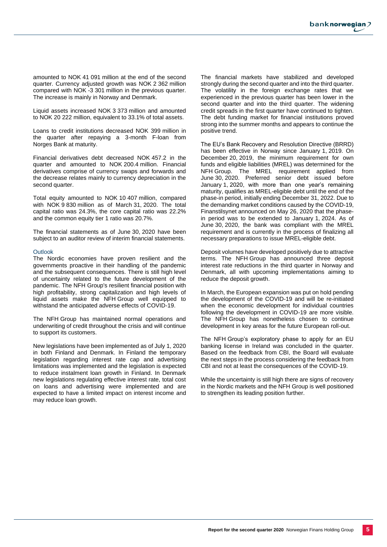amounted to NOK 41 091 million at the end of the second quarter. Currency adjusted growth was NOK 2 362 million compared with NOK -3 301 million in the previous quarter. The increase is mainly in Norway and Denmark.

Liquid assets increased NOK 3 373 million and amounted to NOK 20 222 million, equivalent to 33.1% of total assets.

Loans to credit institutions decreased NOK 399 million in the quarter after repaying a 3-month F-loan from Norges Bank at maturity.

Financial derivatives debt decreased NOK 457.2 in the quarter and amounted to NOK 200.4 million. Financial derivatives comprise of currency swaps and forwards and the decrease relates mainly to currency depreciation in the second quarter.

Total equity amounted to NOK 10 407 million, compared with NOK 9 830 million as of March 31, 2020. The total capital ratio was 24.3%, the core capital ratio was 22.2% and the common equity tier 1 ratio was 20.7%.

The financial statements as of June 30, 2020 have been subject to an auditor review of interim financial statements.

#### **Outlook**

The Nordic economies have proven resilient and the governments proactive in their handling of the pandemic and the subsequent consequences. There is still high level of uncertainty related to the future development of the pandemic. The NFH Group's resilient financial position with high profitability, strong capitalization and high levels of liquid assets make the NFH Group well equipped to withstand the anticipated adverse effects of COVID-19.

The NFH Group has maintained normal operations and underwriting of credit throughout the crisis and will continue to support its customers.

New legislations have been implemented as of July 1, 2020 in both Finland and Denmark. In Finland the temporary legislation regarding interest rate cap and advertising limitations was implemented and the legislation is expected to reduce instalment loan growth in Finland. In Denmark new legislations regulating effective interest rate, total cost on loans and advertising were implemented and are expected to have a limited impact on interest income and may reduce loan growth.

The financial markets have stabilized and developed strongly during the second quarter and into the third quarter. The volatility in the foreign exchange rates that we experienced in the previous quarter has been lower in the second quarter and into the third quarter. The widening credit spreads in the first quarter have continued to tighten. The debt funding market for financial institutions proved strong into the summer months and appears to continue the positive trend.

The EU's Bank Recovery and Resolution Directive (BRRD) has been effective in Norway since January 1, 2019. On December 20, 2019, the minimum requirement for own funds and eligible liabilities (MREL) was determined for the NFH Group. The MREL requirement applied from June 30, 2020. Preferred senior debt issued before January 1, 2020, with more than one year's remaining maturity, qualifies as MREL-eligible debt until the end of the phase-in period, initially ending December 31, 2022. Due to the demanding market conditions caused by the COVID-19, Finanstilsynet announced on May 26, 2020 that the phasein period was to be extended to January 1, 2024. As of June 30, 2020, the bank was compliant with the MREL requirement and is currently in the process of finalizing all necessary preparations to issue MREL-eligible debt.

Deposit volumes have developed positively due to attractive terms. The NFH Group has announced three deposit interest rate reductions in the third quarter in Norway and Denmark, all with upcoming implementations aiming to reduce the deposit growth.

In March, the European expansion was put on hold pending the development of the COVID-19 and will be re-initiated when the economic development for individual countries following the development in COVID-19 are more visible. The NFH Group has nonetheless chosen to continue development in key areas for the future European roll-out.

The NFH Group's exploratory phase to apply for an EU banking license in Ireland was concluded in the quarter. Based on the feedback from CBI, the Board will evaluate the next steps in the process considering the feedback from CBI and not at least the consequences of the COVID-19.

While the uncertainty is still high there are signs of recovery in the Nordic markets and the NFH Group is well positioned to strengthen its leading position further.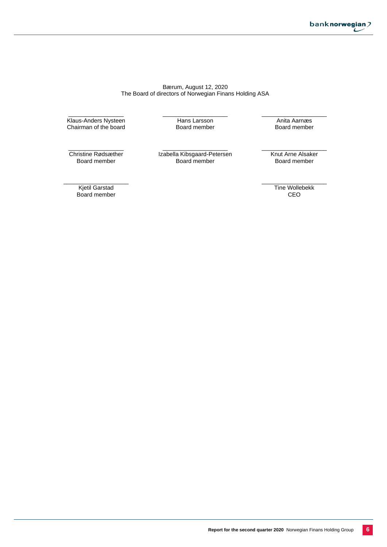#### Bærum, August 12, 2020 The Board of directors of Norwegian Finans Holding ASA

\_\_\_\_\_\_\_\_\_\_\_\_\_\_\_\_\_ Klaus-Anders Nysteen Chairman of the board \_\_\_\_\_\_\_\_\_\_\_\_\_\_\_\_\_\_\_\_ Hans Larsson Board member

\_\_\_\_\_\_\_\_\_\_\_\_\_\_\_\_\_\_\_\_ Anita Aarnæs Board member

\_\_\_\_\_\_\_\_\_\_\_\_\_\_\_\_\_ Christine Rødsæther Board member

\_\_\_\_\_\_\_\_\_\_\_\_\_\_\_\_\_\_\_\_ Izabella Kibsgaard-Petersen Board member

Knut Arne Alsaker Board member

\_\_\_\_\_\_\_\_\_\_\_\_\_\_\_\_\_\_\_\_

\_\_\_\_\_\_\_\_\_\_\_\_\_\_\_\_\_\_\_\_ Kjetil Garstad Board member

\_\_\_\_\_\_\_\_\_\_\_\_\_\_\_\_\_\_\_\_ Tine Wollebekk CEO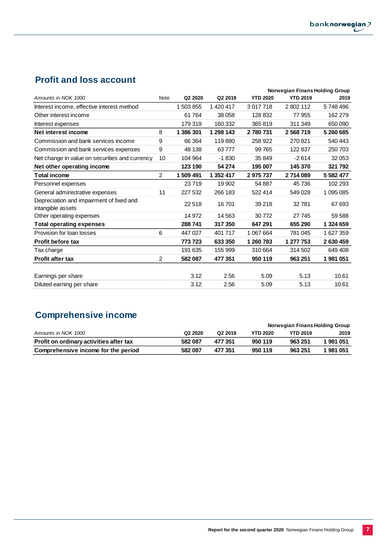# **Profit and loss account**

|                                                               |                |           |           |                 | <b>Norwegian Finans Holding Group</b> |           |
|---------------------------------------------------------------|----------------|-----------|-----------|-----------------|---------------------------------------|-----------|
| Amounts in NOK 1000                                           | Note           | Q2 2020   | Q2 2019   | <b>YTD 2020</b> | <b>YTD 2019</b>                       | 2019      |
| Interest income, effective interest method                    |                | 1 503 855 | 1 420 417 | 3 017 718       | 2802112                               | 5748496   |
| Other interest income                                         |                | 61764     | 38 058    | 128 832         | 77 955                                | 162 279   |
| Interest expenses                                             |                | 179 319   | 160 332   | 365 819         | 311 349                               | 650 090   |
| Net interest income                                           | 8              | 1 386 301 | 1 298 143 | 2780731         | 2568719                               | 5 260 685 |
| Commission and bank services income                           | 9              | 66 364    | 119880    | 258 922         | 270821                                | 540 443   |
| Commission and bank services expenses                         | 9              | 48 138    | 63777     | 99 765          | 122 837                               | 250 703   |
| Net change in value on securities and currency                | 10             | 104 964   | $-1830$   | 35 849          | $-2614$                               | 32 053    |
| Net other operating income                                    |                | 123 190   | 54 274    | 195 007         | 145 370                               | 321 792   |
| <b>Total income</b>                                           | $\overline{2}$ | 1 509 491 | 1 352 417 | 2975737         | 2714089                               | 5 582 477 |
| Personnel expenses                                            |                | 23719     | 19 902    | 54 887          | 45 736                                | 102 293   |
| General administrative expenses                               | 11             | 227 532   | 266 183   | 522 414         | 549 028                               | 1 095 085 |
| Depreciation and impairment of fixed and<br>intangible assets |                | 22 518    | 16701     | 39 218          | 32781                                 | 67 693    |
| Other operating expenses                                      |                | 14 972    | 14 5 63   | 30 772          | 27 745                                | 59 588    |
| <b>Total operating expenses</b>                               |                | 288 741   | 317 350   | 647 291         | 655 290                               | 1 324 659 |
| Provision for loan losses                                     | 6              | 447 027   | 401 717   | 1 067 664       | 781 045                               | 1 627 359 |
| <b>Profit before tax</b>                                      |                | 773 723   | 633 350   | 1 260 783       | 1 277 753                             | 2630459   |
| Tax charge                                                    |                | 191 635   | 155 999   | 310 664         | 314 502                               | 649 408   |
| <b>Profit after tax</b>                                       | $\overline{c}$ | 582 087   | 477 351   | 950 119         | 963 251                               | 1981051   |
|                                                               |                |           |           |                 |                                       |           |
| Earnings per share                                            |                | 3.12      | 2.56      | 5.09            | 5.13                                  | 10.61     |
| Diluted earning per share                                     |                | 3.12      | 2.56      | 5.09            | 5.13                                  | 10.61     |

# **Comprehensive income**

|                                         |                                 |                     |                 | Norwegian Finans Holding Group |         |
|-----------------------------------------|---------------------------------|---------------------|-----------------|--------------------------------|---------|
| Amounts in NOK 1000                     | Q <sub>2</sub> 20 <sub>20</sub> | Q <sub>2</sub> 2019 | <b>YTD 2020</b> | <b>YTD 2019</b>                | 2019    |
| Profit on ordinary activities after tax | 582 087                         | 477 351             | 950 119         | 963 251                        | 1981051 |
| Comprehensive income for the period     | 582 087                         | 477 351             | 950 119         | 963 251                        | 1981051 |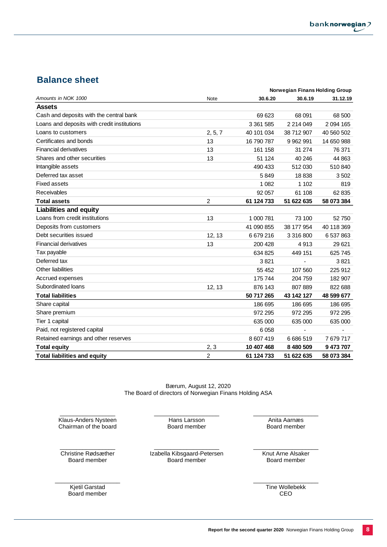# **Balance sheet**

|                                             |                |            | Norwegian Finans Holding Group |               |
|---------------------------------------------|----------------|------------|--------------------------------|---------------|
| Amounts in NOK 1000                         | Note           | 30.6.20    | 30.6.19                        | 31.12.19      |
| <b>Assets</b>                               |                |            |                                |               |
| Cash and deposits with the central bank     |                | 69 623     | 68 091                         | 68 500        |
| Loans and deposits with credit institutions |                | 3 361 585  | 2 2 1 4 0 4 9                  | 2 0 9 4 1 6 5 |
| Loans to customers                          | 2, 5, 7        | 40 101 034 | 38 712 907                     | 40 560 502    |
| Certificates and bonds                      | 13             | 16 790 787 | 9 9 6 2 9 9 1                  | 14 650 988    |
| <b>Financial derivatives</b>                | 13             | 161 158    | 31 274                         | 76 371        |
| Shares and other securities                 | 13             | 51 124     | 40 246                         | 44 863        |
| Intangible assets                           |                | 490 433    | 512 030                        | 510 840       |
| Deferred tax asset                          |                | 5849       | 18838                          | 3502          |
| <b>Fixed assets</b>                         |                | 1 0 8 2    | 1 1 0 2                        | 819           |
| Receivables                                 |                | 92 057     | 61 108                         | 62 835        |
| <b>Total assets</b>                         | 2              | 61 124 733 | 51 622 635                     | 58 073 384    |
| <b>Liabilities and equity</b>               |                |            |                                |               |
| Loans from credit institutions              | 13             | 1 000 781  | 73 100                         | 52750         |
| Deposits from customers                     |                | 41 090 855 | 38 177 954                     | 40 118 369    |
| Debt securities issued                      | 12, 13         | 6679216    | 3 316 800                      | 6 537 863     |
| <b>Financial derivatives</b>                | 13             | 200 428    | 4913                           | 29 6 21       |
| Tax payable                                 |                | 634 825    | 449 151                        | 625 745       |
| Deferred tax                                |                | 3821       |                                | 3821          |
| Other liabilities                           |                | 55 452     | 107 560                        | 225 912       |
| Accrued expenses                            |                | 175 744    | 204 759                        | 182 907       |
| Subordinated loans                          | 12, 13         | 876 143    | 807 889                        | 822 688       |
| <b>Total liabilities</b>                    |                | 50 717 265 | 43 142 127                     | 48 599 677    |
| Share capital                               |                | 186 695    | 186 695                        | 186 695       |
| Share premium                               |                | 972 295    | 972 295                        | 972 295       |
| Tier 1 capital                              |                | 635 000    | 635 000                        | 635 000       |
| Paid, not registered capital                |                | 6058       |                                |               |
| Retained earnings and other reserves        |                | 8 607 419  | 6686519                        | 7679717       |
| <b>Total equity</b>                         | 2, 3           | 10 407 468 | 8 480 509                      | 9 473 707     |
| <b>Total liabilities and equity</b>         | $\overline{c}$ | 61 124 733 | 51 622 635                     | 58 073 384    |

Bærum, August 12, 2020 The Board of directors of Norwegian Finans Holding ASA

\_\_\_\_\_\_\_\_\_\_\_\_\_\_\_\_\_ Klaus-Anders Nysteen Chairman of the board \_\_\_\_\_\_\_\_\_\_\_\_\_\_\_\_\_\_\_\_ Hans Larsson Board member

 $\overline{\phantom{a}}$  , where the contract of the contract of the contract of the contract of the contract of the contract of the contract of the contract of the contract of the contract of the contract of the contract of the contr Christine Rødsæther Board member

\_\_\_\_\_\_\_\_\_\_\_\_\_\_\_\_\_\_\_\_ Izabella Kibsgaard-Petersen Board member

 $\_$ Knut Arne Alsaker

\_\_\_\_\_\_\_\_\_\_\_\_\_\_\_\_\_\_\_\_ Anita Aarnæs Board member

Board member

\_\_\_\_\_\_\_\_\_\_\_\_\_\_\_\_\_\_\_\_ Kjetil Garstad Board member

 $\_$ Tine Wollebekk CEO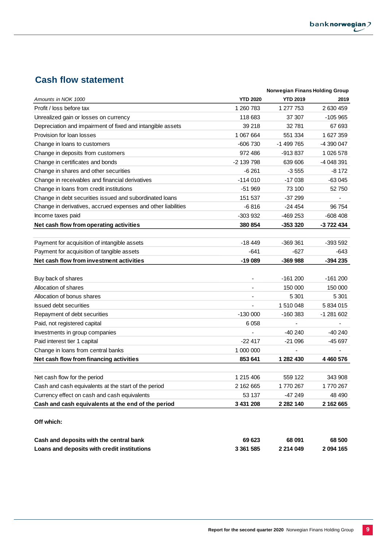÷.

# **Cash flow statement**

| Amounts in NOK 1000<br><b>YTD 2020</b><br><b>YTD 2019</b><br>2019<br>1 260 783<br>1 277 753<br>2630459<br>Profit / loss before tax<br>Unrealized gain or losses on currency<br>118 683<br>37 307<br>$-105965$<br>39 218<br>67 693<br>Depreciation and impairment of fixed and intangible assets<br>32 781<br>1 067 664<br>1627359<br>Provision for loan losses<br>551 334<br>-1 499 765<br>-4 390 047<br>-606 730<br>Change in loans to customers<br>972486<br>-913 837<br>1 026 578<br>Change in deposits from customers<br>-2 139 798<br>639 606<br>-4 048 391<br>Change in certificates and bonds<br>-6 261<br>$-3555$<br>-8 172<br>Change in shares and other securities<br>Change in receivables and financial derivatives<br>$-114010$<br>$-17038$<br>$-63045$<br>Change in loans from credit institutions<br>$-51969$<br>73 100<br>52 750<br>Change in debt securities issued and subordinated loans<br>151 537<br>$-37299$<br>$\blacksquare$<br>Change in derivatives, accrued expenses and other liabilities<br>$-6816$<br>$-24454$<br>96 754<br>Income taxes paid<br>-303 932<br>$-469253$<br>$-608408$<br>380 854<br>-353 320<br>-3 722 434<br>$-18449$<br>$-369.361$<br>-393 592<br>Payment for acquisition of intangible assets<br>$-641$<br>$-627$<br>Payment for acquisition of tangible assets<br>-643<br>Net cash flow from investment activities<br>$-19089$<br>$-369988$<br>$-394235$<br>Buy back of shares<br>$-161200$<br>$-161200$<br>Allocation of shares<br>150 000<br>150 000<br>$\sim$<br>Allocation of bonus shares<br>5 301<br>5 3 0 1<br><b>Issued debt securities</b><br>1 510 048<br>5834015<br>Repayment of debt securities<br>$-130000$<br>$-160383$<br>-1 281 602<br>6058<br>$\blacksquare$<br>$\blacksquare$<br>$-40240$<br>$-40240$<br>$-22417$<br>$-21096$<br>$-45697$<br>Change in loans from central banks<br>1 000 000<br>$\blacksquare$<br>Net cash flow from financing activities<br>853 641<br>1 282 430<br>4 460 576<br>1 215 406<br>559 122<br>343 908<br>Net cash flow for the period<br>Cash and cash equivalents at the start of the period<br>2 162 665<br>1770 267<br>1770267<br>Currency effect on cash and cash equivalents<br>53 137<br>$-47249$<br>48 490<br>3 431 208<br>Cash and cash equivalents at the end of the period<br>2 2 8 2 1 4 0<br>2 162 665<br>Off which: |                                         | Norwegian Finans Holding Group |  |
|--------------------------------------------------------------------------------------------------------------------------------------------------------------------------------------------------------------------------------------------------------------------------------------------------------------------------------------------------------------------------------------------------------------------------------------------------------------------------------------------------------------------------------------------------------------------------------------------------------------------------------------------------------------------------------------------------------------------------------------------------------------------------------------------------------------------------------------------------------------------------------------------------------------------------------------------------------------------------------------------------------------------------------------------------------------------------------------------------------------------------------------------------------------------------------------------------------------------------------------------------------------------------------------------------------------------------------------------------------------------------------------------------------------------------------------------------------------------------------------------------------------------------------------------------------------------------------------------------------------------------------------------------------------------------------------------------------------------------------------------------------------------------------------------------------------------------------------------------------------------------------------------------------------------------------------------------------------------------------------------------------------------------------------------------------------------------------------------------------------------------------------------------------------------------------------------------------------------------------------------------------------------------------------------------------------------------------|-----------------------------------------|--------------------------------|--|
|                                                                                                                                                                                                                                                                                                                                                                                                                                                                                                                                                                                                                                                                                                                                                                                                                                                                                                                                                                                                                                                                                                                                                                                                                                                                                                                                                                                                                                                                                                                                                                                                                                                                                                                                                                                                                                                                                                                                                                                                                                                                                                                                                                                                                                                                                                                                |                                         |                                |  |
|                                                                                                                                                                                                                                                                                                                                                                                                                                                                                                                                                                                                                                                                                                                                                                                                                                                                                                                                                                                                                                                                                                                                                                                                                                                                                                                                                                                                                                                                                                                                                                                                                                                                                                                                                                                                                                                                                                                                                                                                                                                                                                                                                                                                                                                                                                                                |                                         |                                |  |
|                                                                                                                                                                                                                                                                                                                                                                                                                                                                                                                                                                                                                                                                                                                                                                                                                                                                                                                                                                                                                                                                                                                                                                                                                                                                                                                                                                                                                                                                                                                                                                                                                                                                                                                                                                                                                                                                                                                                                                                                                                                                                                                                                                                                                                                                                                                                |                                         |                                |  |
|                                                                                                                                                                                                                                                                                                                                                                                                                                                                                                                                                                                                                                                                                                                                                                                                                                                                                                                                                                                                                                                                                                                                                                                                                                                                                                                                                                                                                                                                                                                                                                                                                                                                                                                                                                                                                                                                                                                                                                                                                                                                                                                                                                                                                                                                                                                                |                                         |                                |  |
|                                                                                                                                                                                                                                                                                                                                                                                                                                                                                                                                                                                                                                                                                                                                                                                                                                                                                                                                                                                                                                                                                                                                                                                                                                                                                                                                                                                                                                                                                                                                                                                                                                                                                                                                                                                                                                                                                                                                                                                                                                                                                                                                                                                                                                                                                                                                |                                         |                                |  |
|                                                                                                                                                                                                                                                                                                                                                                                                                                                                                                                                                                                                                                                                                                                                                                                                                                                                                                                                                                                                                                                                                                                                                                                                                                                                                                                                                                                                                                                                                                                                                                                                                                                                                                                                                                                                                                                                                                                                                                                                                                                                                                                                                                                                                                                                                                                                |                                         |                                |  |
|                                                                                                                                                                                                                                                                                                                                                                                                                                                                                                                                                                                                                                                                                                                                                                                                                                                                                                                                                                                                                                                                                                                                                                                                                                                                                                                                                                                                                                                                                                                                                                                                                                                                                                                                                                                                                                                                                                                                                                                                                                                                                                                                                                                                                                                                                                                                |                                         |                                |  |
|                                                                                                                                                                                                                                                                                                                                                                                                                                                                                                                                                                                                                                                                                                                                                                                                                                                                                                                                                                                                                                                                                                                                                                                                                                                                                                                                                                                                                                                                                                                                                                                                                                                                                                                                                                                                                                                                                                                                                                                                                                                                                                                                                                                                                                                                                                                                |                                         |                                |  |
|                                                                                                                                                                                                                                                                                                                                                                                                                                                                                                                                                                                                                                                                                                                                                                                                                                                                                                                                                                                                                                                                                                                                                                                                                                                                                                                                                                                                                                                                                                                                                                                                                                                                                                                                                                                                                                                                                                                                                                                                                                                                                                                                                                                                                                                                                                                                |                                         |                                |  |
|                                                                                                                                                                                                                                                                                                                                                                                                                                                                                                                                                                                                                                                                                                                                                                                                                                                                                                                                                                                                                                                                                                                                                                                                                                                                                                                                                                                                                                                                                                                                                                                                                                                                                                                                                                                                                                                                                                                                                                                                                                                                                                                                                                                                                                                                                                                                |                                         |                                |  |
|                                                                                                                                                                                                                                                                                                                                                                                                                                                                                                                                                                                                                                                                                                                                                                                                                                                                                                                                                                                                                                                                                                                                                                                                                                                                                                                                                                                                                                                                                                                                                                                                                                                                                                                                                                                                                                                                                                                                                                                                                                                                                                                                                                                                                                                                                                                                |                                         |                                |  |
|                                                                                                                                                                                                                                                                                                                                                                                                                                                                                                                                                                                                                                                                                                                                                                                                                                                                                                                                                                                                                                                                                                                                                                                                                                                                                                                                                                                                                                                                                                                                                                                                                                                                                                                                                                                                                                                                                                                                                                                                                                                                                                                                                                                                                                                                                                                                |                                         |                                |  |
|                                                                                                                                                                                                                                                                                                                                                                                                                                                                                                                                                                                                                                                                                                                                                                                                                                                                                                                                                                                                                                                                                                                                                                                                                                                                                                                                                                                                                                                                                                                                                                                                                                                                                                                                                                                                                                                                                                                                                                                                                                                                                                                                                                                                                                                                                                                                |                                         |                                |  |
|                                                                                                                                                                                                                                                                                                                                                                                                                                                                                                                                                                                                                                                                                                                                                                                                                                                                                                                                                                                                                                                                                                                                                                                                                                                                                                                                                                                                                                                                                                                                                                                                                                                                                                                                                                                                                                                                                                                                                                                                                                                                                                                                                                                                                                                                                                                                |                                         |                                |  |
|                                                                                                                                                                                                                                                                                                                                                                                                                                                                                                                                                                                                                                                                                                                                                                                                                                                                                                                                                                                                                                                                                                                                                                                                                                                                                                                                                                                                                                                                                                                                                                                                                                                                                                                                                                                                                                                                                                                                                                                                                                                                                                                                                                                                                                                                                                                                | Net cash flow from operating activities |                                |  |
|                                                                                                                                                                                                                                                                                                                                                                                                                                                                                                                                                                                                                                                                                                                                                                                                                                                                                                                                                                                                                                                                                                                                                                                                                                                                                                                                                                                                                                                                                                                                                                                                                                                                                                                                                                                                                                                                                                                                                                                                                                                                                                                                                                                                                                                                                                                                |                                         |                                |  |
|                                                                                                                                                                                                                                                                                                                                                                                                                                                                                                                                                                                                                                                                                                                                                                                                                                                                                                                                                                                                                                                                                                                                                                                                                                                                                                                                                                                                                                                                                                                                                                                                                                                                                                                                                                                                                                                                                                                                                                                                                                                                                                                                                                                                                                                                                                                                |                                         |                                |  |
|                                                                                                                                                                                                                                                                                                                                                                                                                                                                                                                                                                                                                                                                                                                                                                                                                                                                                                                                                                                                                                                                                                                                                                                                                                                                                                                                                                                                                                                                                                                                                                                                                                                                                                                                                                                                                                                                                                                                                                                                                                                                                                                                                                                                                                                                                                                                |                                         |                                |  |
|                                                                                                                                                                                                                                                                                                                                                                                                                                                                                                                                                                                                                                                                                                                                                                                                                                                                                                                                                                                                                                                                                                                                                                                                                                                                                                                                                                                                                                                                                                                                                                                                                                                                                                                                                                                                                                                                                                                                                                                                                                                                                                                                                                                                                                                                                                                                |                                         |                                |  |
|                                                                                                                                                                                                                                                                                                                                                                                                                                                                                                                                                                                                                                                                                                                                                                                                                                                                                                                                                                                                                                                                                                                                                                                                                                                                                                                                                                                                                                                                                                                                                                                                                                                                                                                                                                                                                                                                                                                                                                                                                                                                                                                                                                                                                                                                                                                                |                                         |                                |  |
|                                                                                                                                                                                                                                                                                                                                                                                                                                                                                                                                                                                                                                                                                                                                                                                                                                                                                                                                                                                                                                                                                                                                                                                                                                                                                                                                                                                                                                                                                                                                                                                                                                                                                                                                                                                                                                                                                                                                                                                                                                                                                                                                                                                                                                                                                                                                |                                         |                                |  |
|                                                                                                                                                                                                                                                                                                                                                                                                                                                                                                                                                                                                                                                                                                                                                                                                                                                                                                                                                                                                                                                                                                                                                                                                                                                                                                                                                                                                                                                                                                                                                                                                                                                                                                                                                                                                                                                                                                                                                                                                                                                                                                                                                                                                                                                                                                                                |                                         |                                |  |
|                                                                                                                                                                                                                                                                                                                                                                                                                                                                                                                                                                                                                                                                                                                                                                                                                                                                                                                                                                                                                                                                                                                                                                                                                                                                                                                                                                                                                                                                                                                                                                                                                                                                                                                                                                                                                                                                                                                                                                                                                                                                                                                                                                                                                                                                                                                                |                                         |                                |  |
|                                                                                                                                                                                                                                                                                                                                                                                                                                                                                                                                                                                                                                                                                                                                                                                                                                                                                                                                                                                                                                                                                                                                                                                                                                                                                                                                                                                                                                                                                                                                                                                                                                                                                                                                                                                                                                                                                                                                                                                                                                                                                                                                                                                                                                                                                                                                |                                         |                                |  |
|                                                                                                                                                                                                                                                                                                                                                                                                                                                                                                                                                                                                                                                                                                                                                                                                                                                                                                                                                                                                                                                                                                                                                                                                                                                                                                                                                                                                                                                                                                                                                                                                                                                                                                                                                                                                                                                                                                                                                                                                                                                                                                                                                                                                                                                                                                                                |                                         |                                |  |
|                                                                                                                                                                                                                                                                                                                                                                                                                                                                                                                                                                                                                                                                                                                                                                                                                                                                                                                                                                                                                                                                                                                                                                                                                                                                                                                                                                                                                                                                                                                                                                                                                                                                                                                                                                                                                                                                                                                                                                                                                                                                                                                                                                                                                                                                                                                                | Paid, not registered capital            |                                |  |
|                                                                                                                                                                                                                                                                                                                                                                                                                                                                                                                                                                                                                                                                                                                                                                                                                                                                                                                                                                                                                                                                                                                                                                                                                                                                                                                                                                                                                                                                                                                                                                                                                                                                                                                                                                                                                                                                                                                                                                                                                                                                                                                                                                                                                                                                                                                                | Investments in group companies          |                                |  |
|                                                                                                                                                                                                                                                                                                                                                                                                                                                                                                                                                                                                                                                                                                                                                                                                                                                                                                                                                                                                                                                                                                                                                                                                                                                                                                                                                                                                                                                                                                                                                                                                                                                                                                                                                                                                                                                                                                                                                                                                                                                                                                                                                                                                                                                                                                                                | Paid interest tier 1 capital            |                                |  |
|                                                                                                                                                                                                                                                                                                                                                                                                                                                                                                                                                                                                                                                                                                                                                                                                                                                                                                                                                                                                                                                                                                                                                                                                                                                                                                                                                                                                                                                                                                                                                                                                                                                                                                                                                                                                                                                                                                                                                                                                                                                                                                                                                                                                                                                                                                                                |                                         |                                |  |
|                                                                                                                                                                                                                                                                                                                                                                                                                                                                                                                                                                                                                                                                                                                                                                                                                                                                                                                                                                                                                                                                                                                                                                                                                                                                                                                                                                                                                                                                                                                                                                                                                                                                                                                                                                                                                                                                                                                                                                                                                                                                                                                                                                                                                                                                                                                                |                                         |                                |  |
|                                                                                                                                                                                                                                                                                                                                                                                                                                                                                                                                                                                                                                                                                                                                                                                                                                                                                                                                                                                                                                                                                                                                                                                                                                                                                                                                                                                                                                                                                                                                                                                                                                                                                                                                                                                                                                                                                                                                                                                                                                                                                                                                                                                                                                                                                                                                |                                         |                                |  |
|                                                                                                                                                                                                                                                                                                                                                                                                                                                                                                                                                                                                                                                                                                                                                                                                                                                                                                                                                                                                                                                                                                                                                                                                                                                                                                                                                                                                                                                                                                                                                                                                                                                                                                                                                                                                                                                                                                                                                                                                                                                                                                                                                                                                                                                                                                                                |                                         |                                |  |
|                                                                                                                                                                                                                                                                                                                                                                                                                                                                                                                                                                                                                                                                                                                                                                                                                                                                                                                                                                                                                                                                                                                                                                                                                                                                                                                                                                                                                                                                                                                                                                                                                                                                                                                                                                                                                                                                                                                                                                                                                                                                                                                                                                                                                                                                                                                                |                                         |                                |  |
|                                                                                                                                                                                                                                                                                                                                                                                                                                                                                                                                                                                                                                                                                                                                                                                                                                                                                                                                                                                                                                                                                                                                                                                                                                                                                                                                                                                                                                                                                                                                                                                                                                                                                                                                                                                                                                                                                                                                                                                                                                                                                                                                                                                                                                                                                                                                |                                         |                                |  |
|                                                                                                                                                                                                                                                                                                                                                                                                                                                                                                                                                                                                                                                                                                                                                                                                                                                                                                                                                                                                                                                                                                                                                                                                                                                                                                                                                                                                                                                                                                                                                                                                                                                                                                                                                                                                                                                                                                                                                                                                                                                                                                                                                                                                                                                                                                                                |                                         |                                |  |
|                                                                                                                                                                                                                                                                                                                                                                                                                                                                                                                                                                                                                                                                                                                                                                                                                                                                                                                                                                                                                                                                                                                                                                                                                                                                                                                                                                                                                                                                                                                                                                                                                                                                                                                                                                                                                                                                                                                                                                                                                                                                                                                                                                                                                                                                                                                                |                                         |                                |  |
|                                                                                                                                                                                                                                                                                                                                                                                                                                                                                                                                                                                                                                                                                                                                                                                                                                                                                                                                                                                                                                                                                                                                                                                                                                                                                                                                                                                                                                                                                                                                                                                                                                                                                                                                                                                                                                                                                                                                                                                                                                                                                                                                                                                                                                                                                                                                |                                         |                                |  |

| Cash and deposits with the central bank     | 69 623    | 68 091    | 68 500   |
|---------------------------------------------|-----------|-----------|----------|
| Loans and deposits with credit institutions | 3 361 585 | 2 214 049 | 2094 165 |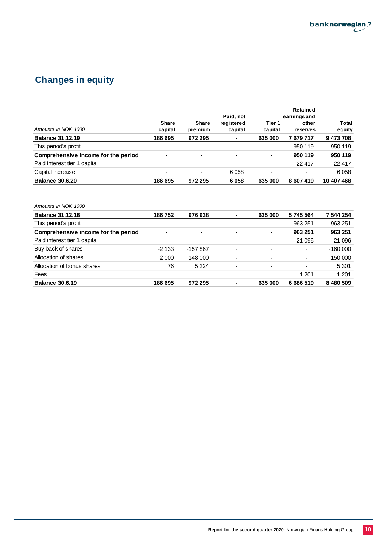

# **Changes in equity**

|                                     |                          |                          | Paid, not                |                   | Retained                          |                 |  |
|-------------------------------------|--------------------------|--------------------------|--------------------------|-------------------|-----------------------------------|-----------------|--|
| Amounts in NOK 1000                 | <b>Share</b><br>capital  | <b>Share</b><br>premium  | registered<br>capital    | Tier 1<br>capital | earnings and<br>other<br>reserves | Total<br>equity |  |
| <b>Balance 31.12.19</b>             | 186 695                  | 972 295                  | $\blacksquare$           | 635 000           | 7 679 717                         | 9473708         |  |
| This period's profit                | $\overline{\phantom{0}}$ | $\overline{\phantom{0}}$ | $\overline{\phantom{0}}$ | ٠                 | 950 119                           | 950 119         |  |
| Comprehensive income for the period |                          | $\blacksquare$           | $\blacksquare$           | $\blacksquare$    | 950 119                           | 950 119         |  |
| Paid interest tier 1 capital        | $\overline{\phantom{0}}$ | $\overline{\phantom{0}}$ | $\overline{\phantom{0}}$ | ٠                 | $-22417$                          | $-22417$        |  |
| Capital increase                    | $\overline{\phantom{0}}$ | $\overline{\phantom{0}}$ | 6058                     | ٠                 | $\overline{\phantom{a}}$          | 6058            |  |
| <b>Balance 30.6.20</b>              | 186 695                  | 972 295                  | 6058                     | 635 000           | 8 607 419                         | 10 407 468      |  |

#### *Amounts in NOK 1000*

| <b>Balance 31.12.18</b>             | 186 752                  | 976938                   |                          | 635 000                  | 5745564                  | 7 544 254 |
|-------------------------------------|--------------------------|--------------------------|--------------------------|--------------------------|--------------------------|-----------|
| This period's profit                | $\overline{\phantom{0}}$ | $\overline{\phantom{0}}$ | $\overline{\phantom{0}}$ | $\overline{\phantom{a}}$ | 963 251                  | 963 251   |
| Comprehensive income for the period | $\blacksquare$           | $\blacksquare$           | $\blacksquare$           | $\blacksquare$           | 963 251                  | 963 251   |
| Paid interest tier 1 capital        | $\overline{\phantom{0}}$ | $\overline{\phantom{0}}$ | $\overline{\phantom{0}}$ | ٠                        | $-21096$                 | $-21096$  |
| Buy back of shares                  | $-2133$                  | $-157867$                | $\overline{\phantom{0}}$ | $\overline{\phantom{a}}$ | $\overline{\phantom{a}}$ | $-160000$ |
| Allocation of shares                | 2000                     | 148 000                  | $\overline{\phantom{0}}$ | $\overline{\phantom{a}}$ | $\overline{\phantom{a}}$ | 150 000   |
| Allocation of bonus shares          | 76                       | 5 2 2 4                  | $\overline{\phantom{0}}$ | $\overline{\phantom{0}}$ |                          | 5 3 0 1   |
| Fees                                |                          | $\overline{\phantom{0}}$ | $\overline{\phantom{0}}$ | ٠                        | $-1201$                  | $-1201$   |
| <b>Balance 30.6.19</b>              | 186 695                  | 972 295                  |                          | 635 000                  | 6 686 519                | 8 480 509 |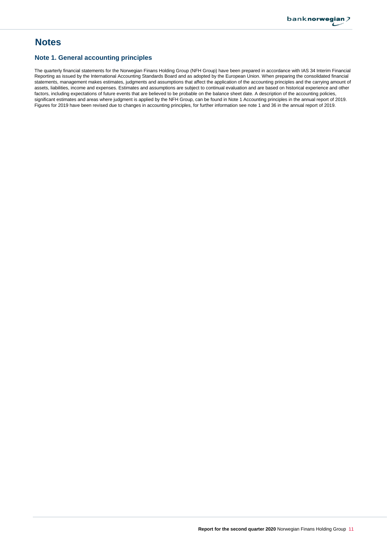# **Notes**

## **Note 1. General accounting principles**

The quarterly financial statements for the Norwegian Finans Holding Group (NFH Group) have been prepared in accordance with IAS 34 Interim Financial Reporting as issued by the International Accounting Standards Board and as adopted by the European Union. When preparing the consolidated financial statements, management makes estimates, judgments and assumptions that affect the application of the accounting principles and the carrying amount of assets, liabilities, income and expenses. Estimates and assumptions are subject to continual evaluation and are based on historical experience and other factors, including expectations of future events that are believed to be probable on the balance sheet date. A description of the accounting policies, significant estimates and areas where judgment is applied by the NFH Group, can be found in Note 1 Accounting principles in the annual report of 2019. Figures for 2019 have been revised due to changes in accounting principles, for further information see note 1 and 36 in the annual report of 2019.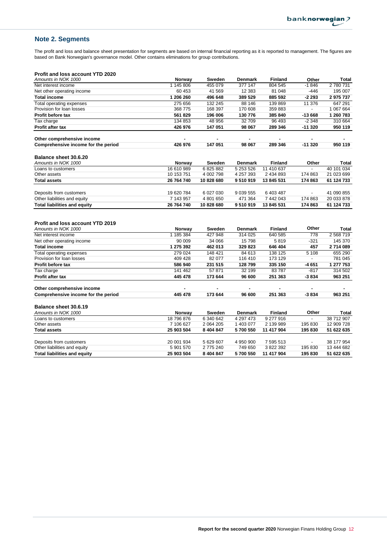# **Note 2. Segments**

The profit and loss and balance sheet presentation for segments are based on internal financial reporting as it is reported to management. The figures are based on Bank Norwegian's governance model. Other contains eliminations for group contributions.

#### **Profit and loss account YTD 2020**

| Amounts in NOK 1000                                            | Norway                  | <b>Sweden</b>        | <b>Denmark</b> | <b>Finland</b>         | Other          | Total                    |
|----------------------------------------------------------------|-------------------------|----------------------|----------------|------------------------|----------------|--------------------------|
| Net interest income                                            | 1 145 806               | 455 079              | 377 147        | 804 545                | $-1846$        | 2780731                  |
| Net other operating income                                     | 60 453                  | 41 569               | 12 3 8 3       | 81 048                 | $-446$         | 195 007                  |
| <b>Total income</b>                                            | 1 206 260               | 496 648              | 389 529        | 885 592                | -2 293         | 2975737                  |
| <b>Total operating expenses</b>                                | 275 656                 | 132 245              | 88 146         | 139 869                | 11 376         | 647 291                  |
| Provision for loan losses                                      | 368 775                 | 168 397              | 170 608        | 359 883                | $\blacksquare$ | 1 067 664                |
| Profit before tax                                              | 561 829                 | 196 006              | 130 776        | 385 840                | $-13668$       | 1 260 783                |
| Tax charge                                                     | 134 853                 | 48 956               | 32 709         | 96 493                 | $-2348$        | 310 664                  |
| <b>Profit after tax</b>                                        | 426 976                 | 147 051              | 98 067         | 289 346                | $-11320$       | 950 119                  |
| Other comprehensive income                                     |                         |                      |                |                        |                |                          |
| Comprehensive income for the period                            | 426 976                 | 147 051              | 98 067         | 289 346                | $-11320$       | 950 119                  |
| Balance sheet 30.6.20                                          |                         |                      |                |                        |                |                          |
| Amounts in NOK 1000                                            | Norway                  | Sweden               | <b>Denmark</b> | Finland                | Other          | Total                    |
| Loans to customers                                             | 16 610 989              | 6825882              | 5 253 526      | 11 410 637             |                | 40 101 034               |
| Other assets                                                   | 10 153 751              | 4 002 798            | 4 257 393      | 2 434 893              | 174 863        | 21 023 699               |
| <b>Total assets</b>                                            | 26 764 740              | 10 828 680           | 9510919        | 13 845 531             | 174 863        | 61 124 733               |
|                                                                |                         |                      |                |                        |                |                          |
| Deposits from customers                                        | 19 620 784              | 6 027 030            | 9 0 39 5 5 5   | 6 403 487              |                | 41 090 855               |
| Other liabilities and equity                                   | 7 143 957               | 4 801 650            | 471 364        | 7 442 043              | 174 863        | 20 033 878               |
| <b>Total liabilities and equity</b>                            | 26 764 740              | 10 828 680           | 9510919        | 13 845 531             | 174 863        | 61 124 733               |
| <b>Profit and loss account YTD 2019</b><br>Amounts in NOK 1000 | Norway                  | Sweden               | <b>Denmark</b> | <b>Finland</b>         | Other          | Total                    |
| Net interest income                                            | 1 185 384               | 427 948              | 314 025        | 640 585                | 778            | 2 568 719                |
| Net other operating income                                     | 90 009                  | 34 066               | 15798          | 5819                   | $-321$         | 145 370                  |
| <b>Total income</b>                                            | 1 275 392               | 462 013              | 329 823        | 646 404                | 457            | 2714089                  |
| Total operating expenses                                       | 279 024                 | 148 421              | 84 613         | 138 125                | 5 1 0 8        | 655 290                  |
| Provision for loan losses                                      | 409 428                 | 82 077               | 116 410        | 173 129                | $\blacksquare$ | 781 045                  |
| Profit before tax                                              | 586 940                 | 231 515              | 128 799        | 335 150                | -4 651         | 1 277 753                |
| Tax charge                                                     | 141 462                 | 57 871               | 32 199         | 83787                  | $-817$         | 314 502                  |
| <b>Profit after tax</b>                                        | 445 478                 | 173 644              | 96 600         | 251 363                | $-3834$        | 963 251                  |
| Other comprehensive income                                     |                         |                      |                |                        |                |                          |
| Comprehensive income for the period                            | 445 478                 | 173 644              | 96 600         | 251 363                | $-3834$        | 963 251                  |
| Balance sheet 30.6.19                                          |                         |                      |                |                        |                |                          |
| Amounts in NOK 1000                                            | Norway                  | Sweden               | <b>Denmark</b> | <b>Finland</b>         | Other          | Total                    |
| Loans to customers                                             |                         |                      |                | 9 277 916              |                |                          |
| Other assets                                                   | 18 796 876              | 6 340 642            | 4 297 473      |                        |                | 38 712 907               |
|                                                                | 7 106 627               | 2 0 64 2 0 5         | 1 403 077      | 2 139 989              | 195 830        | 12 909 728               |
| <b>Total assets</b>                                            | 25 903 504              | 8 4 0 4 8 4 7        | 5700 550       | 11 417 904             | 195 830        | 51 622 635               |
|                                                                |                         |                      | 4 950 900      |                        |                |                          |
| Deposits from customers<br>Other liabilities and equity        | 20 001 934<br>5 901 570 | 5 629 607<br>2775240 | 749 650        | 7 595 513<br>3 822 392 | 195 830        | 38 177 954<br>13 444 682 |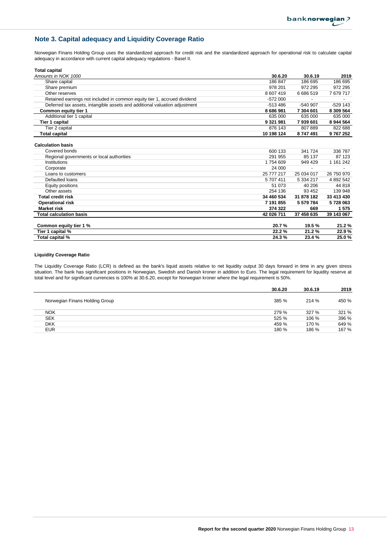# **Note 3. Capital adequacy and Liquidity Coverage Ratio**

Norwegian Finans Holding Group uses the standardized approach for credit risk and the standardized approach for operational risk to calculate capital adequacy in accordance with current capital adequacy regulations - Basel II.

| <b>Total capital</b>                                                       |             |            |            |
|----------------------------------------------------------------------------|-------------|------------|------------|
| Amounts in NOK 1000                                                        | 30.6.20     | 30.6.19    | 2019       |
| Share capital                                                              | 186847      | 186 695    | 186 695    |
| Share premium                                                              | 978 201     | 972 295    | 972 295    |
| Other reserves                                                             | 8 607 419   | 6686519    | 7679717    |
| Retained earnings not included in common equity tier 1, accrued dividend   | $-572000$   |            |            |
| Deferred tax assets, intangible assets and additional valuation adjustment | $-513486$   | -540 907   | $-529$ 143 |
| Common equity tier 1                                                       | 8 686 981   | 7 304 601  | 8 309 564  |
| Additional tier 1 capital                                                  | 635 000     | 635 000    | 635 000    |
| Tier 1 capital                                                             | 9 3 21 9 81 | 7939601    | 8 944 564  |
| Tier 2 capital                                                             | 876 143     | 807889     | 822 688    |
| <b>Total capital</b>                                                       | 10 198 124  | 8747491    | 9767252    |
| <b>Calculation basis</b>                                                   |             |            |            |
| Covered bonds                                                              | 600 133     | 341 724    | 336 787    |
| Regional governments or local authorities                                  | 291 955     | 85 137     | 87 123     |
| Institutions                                                               | 1754609     | 949 429    | 1 161 242  |
| Corporate                                                                  | 24 000      |            |            |
| Loans to customers                                                         | 25 777 217  | 25 034 017 | 26 750 970 |
| Defaulted loans                                                            | 5707411     | 5 334 217  | 4 892 542  |
| Equity positions                                                           | 51 073      | 40 206     | 44 818     |
| Other assets                                                               | 254 136     | 93 452     | 139 948    |
| <b>Total credit risk</b>                                                   | 34 460 534  | 31 878 182 | 33 413 430 |
| <b>Operational risk</b>                                                    | 7 191 855   | 5 579 784  | 5728063    |
| <b>Market risk</b>                                                         | 374 322     | 669        | 1575       |
| <b>Total calculation basis</b>                                             | 42 026 711  | 37 458 635 | 39 143 067 |
| Common equity tier 1 %                                                     | 20.7%       | 19.5%      | 21.2%      |
| Tier 1 capital %                                                           | 22.2%       | 21.2%      | 22.9%      |
| Total capital %                                                            | 24.3%       | 23.4%      | 25.0%      |

#### **Liquidity Coverage Ratio**

The Liquidity Coverage Ratio (LCR) is defined as the bank's liquid assets relative to net liquidity output 30 days forward in time in any given stress situation. The bank has significant positions in Norwegian, Swedish and Danish kroner in addition to Euro. The legal requirement for liquidity reserve at total level and for significant currencies is 100% at 30.6.20, except for Norwegian kroner where the legal requirement is 50%.

|                                | 30.6.20 | 30.6.19 | 2019  |
|--------------------------------|---------|---------|-------|
| Norwegian Finans Holding Group | 385 %   | 214 %   | 450 % |
| <b>NOK</b>                     | 279 %   | 327 %   | 321 % |
| <b>SEK</b>                     | 525 %   | 106 %   | 396 % |
| <b>DKK</b>                     | 459 %   | 170 %   | 649 % |
| <b>EUR</b>                     | 180 %   | 186 %   | 167 % |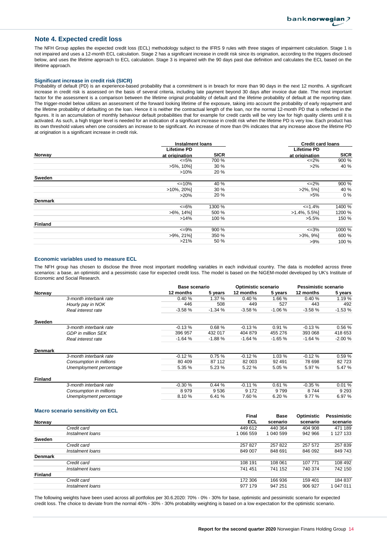#### **Note 4. Expected credit loss**

The NFH Group applies the expected credit loss (ECL) methodology subject to the IFRS 9 rules with three stages of impairment calculation. Stage 1 is not impaired and uses a 12-month ECL calculation. Stage 2 has a significant increase in credit risk since its origination, according to the triggers disclosed below, and uses the lifetime approach to ECL calculation. Stage 3 is impaired with the 90 days past due definition and calculates the ECL based on the lifetime approach.

#### **Significant increase in credit risk (SICR)**

Probability of default (PD) is an experience-based probability that a commitment is in breach for more than 90 days in the next 12 months. A significant increase in credit risk is assessed on the basis of several criteria, including late payment beyond 30 days after invoice due date. The most important factor for the assessment is a comparison between the lifetime original probability of default and the lifetime probability of default at the reporting date. The trigger-model below utilizes an assessment of the forward looking lifetime of the exposure, taking into account the probability of early repayment and the lifetime probability of defaulting on the loan. Hence it is neither the contractual length of the loan, nor the normal 12-month PD that is reflected in the figures. It is an accumulation of monthly behaviour default probabilities that for example for credit cards will be very low for high quality clients until it is activated. As such, a high trigger level is needed for an indication of a significant increase in credit risk when the lifetime PD is very low. Each product has its own threshold values when one considers an increase to be significant. An increase of more than 0% indicates that any increase above the lifetime PD at origination is a significant increase in credit risk.

|                | <b>Instalment loans</b> |             | <b>Credit card loans</b> |             |
|----------------|-------------------------|-------------|--------------------------|-------------|
|                | <b>Lifetime PD</b>      |             | <b>Lifetime PD</b>       |             |
| Norway         | at origination          | <b>SICR</b> | at origination           | <b>SICR</b> |
|                | $\leq 5\%$              | 700 %       | $\leq$ 2%                | 900 %       |
|                | $>5\%$ , 10%]           | 30 %        | $>2\%$                   | 40 %        |
|                | $>10\%$                 | 20 %        |                          |             |
| Sweden         |                         |             |                          |             |
|                | $\leq 10\%$             | 40 %        | $\leq$ 2%                | 900 %       |
|                | $>10\%$ , 20%           | 30 %        | $>2\%, 5\%$              | 40 %        |
|                | >20%                    | 20%         | $>5\%$                   | $0\%$       |
| <b>Denmark</b> |                         |             |                          |             |
|                | $<=6\%$                 | 1300 %      | $\leq 1.4\%$             | 1400 %      |
|                | $>6\%$ , 14%            | 500 %       | $>1.4\%, 5.5\%$          | 1200 %      |
|                | >14%                    | 100 %       | $>5.5\%$                 | 150 %       |
| <b>Finland</b> |                         |             |                          |             |
|                | $\leq$ 9%               | 900 %       | $\leq 3\%$               | 1000 %      |
|                | $>9\%$ , 21%            | 350 %       | $>3\%$ , $9\%$ ]         | 600 %       |
|                | $>21\%$                 | 50 %        | $>9\%$                   | 100 %       |
|                |                         |             |                          |             |

#### **Economic variables used to measure ECL**

The NFH group has chosen to disclose the three most important modelling variables in each individual country. The data is modelled across three scenarios: a base, an optimistic and a pessimistic case for expected credit loss. The model is based on the NiGEM-model developed by UK's Institute of Economic and Social Research.

|                |                           |           | Base scenario |           | Optimistic scenario |           | Pessimistic scenario |  |
|----------------|---------------------------|-----------|---------------|-----------|---------------------|-----------|----------------------|--|
| Norway         |                           | 12 months | 5 years       | 12 months | 5 years             | 12 months | 5 years              |  |
|                | 3-month interbank rate    | 0.40%     | 1.37 %        | 0.40%     | 1.66 %              | 0.40%     | 1.19%                |  |
|                | Hourly pay in NOK         | 446       | 508           | 449       | 527                 | 443       | 492                  |  |
|                | Real interest rate        | $-3.58%$  | $-1.34%$      | $-3.58%$  | $-1.06%$            | $-3.58%$  | $-1.53%$             |  |
| Sweden         |                           |           |               |           |                     |           |                      |  |
|                | 3-month interbank rate    | $-0.13%$  | 0.68%         | $-0.13%$  | 0.91%               | $-0.13%$  | 0.56%                |  |
|                | <b>GDP</b> in million SEK | 396 957   | 432 017       | 404 879   | 455 276             | 393 068   | 418 653              |  |
|                | Real interest rate        | $-1.64%$  | $-1.88%$      | $-1.64%$  | $-1.65%$            | $-1.64%$  | $-2.00%$             |  |
| <b>Denmark</b> |                           |           |               |           |                     |           |                      |  |
|                | 3-month interbank rate    | $-0.12%$  | 0.75%         | $-0.12%$  | 1.03%               | $-0.12%$  | 0.59%                |  |
|                | Consumption in millions   | 80 409    | 87 112        | 82 003    | 92 491              | 78 698    | 82723                |  |
|                | Unemployment percentage   | 5.35 %    | 5.23%         | 5.22 %    | 5.05 %              | 5.97 %    | 5.47 %               |  |
| <b>Finland</b> |                           |           |               |           |                     |           |                      |  |
|                | 3-month interbank rate    | $-0.30%$  | 0.44%         | $-0.11%$  | 0.61%               | $-0.35%$  | 0.01%                |  |
|                | Consumption in millions   | 8979      | 9536          | 9 1 7 2   | 9799                | 8744      | 9 2 9 3              |  |
|                | Unemployment percentage   | 8.10%     | 6.41 %        | 7.60 %    | 6.20%               | 9.77 %    | 6.97 %               |  |

#### **Macro scenario sensitivity on ECL**

|                |                  | Final      | <b>Base</b> | Optimistic | Pessimistic |
|----------------|------------------|------------|-------------|------------|-------------|
| Norway         |                  | <b>ECL</b> | scenario    | scenario   | scenario    |
|                | Credit card      | 449 612    | 440 364     | 404 908    | 471 189     |
|                | Instalment Ioans | 1 066 559  | 1 040 599   | 942 966    | 1 127 133   |
| Sweden         |                  |            |             |            |             |
|                | Credit card      | 257827     | 257822      | 257 572    | 257 839     |
|                | Instalment Ioans | 849 007    | 848 691     | 846 092    | 849 743     |
| <b>Denmark</b> |                  |            |             |            |             |
|                | Credit card      | 108 191    | 108 061     | 107 771    | 108 492     |
|                | Instalment loans | 741 451    | 741 152     | 740 374    | 742 150     |
| <b>Finland</b> |                  |            |             |            |             |
|                | Credit card      | 172 306    | 166 936     | 159 401    | 184 837     |
|                | Instalment Ioans | 977 179    | 947 251     | 906 927    | 047 011     |

The following weights have been used across all portfolios per 30.6.2020: 70% - 0% - 30% for base, optimistic and pessimistic scenario for expected credit loss. The choice to deviate from the normal 40% - 30% - 30% probability weighting is based on a low expectation for the optimistic scenario.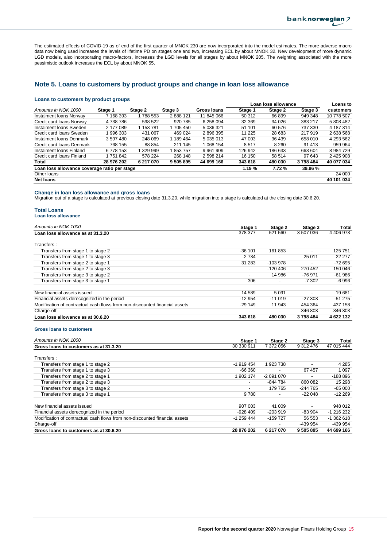The estimated effects of COVID-19 as of end of the first quarter of MNOK 230 are now incorporated into the model estimates. The more adverse macro data now being used increases the levels of lifetime PD on stages one and two, increasing ECL by about MNOK 32. New development of more dynamic LGD models, also incorporating macro-factors, increases the LGD levels for all stages by about MNOK 205. The weighting associated with the more pessimistic outlook increases the ECL by about MNOK 55.

## **Note 5. Loans to customers by product groups and change in loan loss allowance**

#### **Loans to customers by product groups**

|                                              |            |           |           |              |          | Loan loss allowance |         | Loans to      |
|----------------------------------------------|------------|-----------|-----------|--------------|----------|---------------------|---------|---------------|
| Amounts in NOK 1000                          | Stage 1    | Stage 2   | Stage 3   | Gross Ioans  | Stage 1  | Stage 2             | Stage 3 | customers     |
| Instalment Ioans Norway                      | 7 168 393  | 1788 553  | 2888121   | 11 845 066   | 50 312   | 66 899              | 949 348 | 10 778 507    |
| Credit card loans Norway                     | 4738786    | 598 522   | 920 785   | 6 258 094    | 32 369   | 34 0 26             | 383 217 | 5 808 482     |
| Instalment Ioans Sweden                      | 2 177 089  | 1 153 781 | 1 705 450 | 5 036 321    | 51 101   | 60 576              | 737 330 | 4 187 314     |
| Credit card loans Sweden                     | 996 303    | 431 067   | 469 024   | 2896395      | 11 2 2 5 | 28 683              | 217919  | 2 638 568     |
| Instalment Ioans Denmark                     | 3 597 480  | 248 069   | 1 189 464 | 5 035 013    | 47 003   | 36 439              | 658 010 | 4 293 562     |
| Credit card loans Denmark                    | 768 155    | 88 854    | 211 145   | 1 068 154    | 8517     | 8 2 6 0             | 91 413  | 959 964       |
| Instalment Ioans Finland                     | 6 778 153  | 1 329 999 | 853 757   | 9 9 61 9 0 9 | 126 942  | 186 633             | 663 604 | 8 9 8 4 7 2 9 |
| Credit card loans Finland                    | 1751842    | 578 224   | 268 148   | 2 598 214    | 16 150   | 58 514              | 97 643  | 2 425 908     |
| Total                                        | 28 976 202 | 6 217 070 | 9 505 895 | 44 699 166   | 343 618  | 480 030             | 3798484 | 40 077 034    |
| Loan loss allowance coverage ratio per stage |            |           |           | 1.19%        | 7.72 %   | 39.96 %             |         |               |
| Other loans                                  |            |           |           |              |          |                     |         | 24 000        |
| <b>Net loans</b>                             |            |           |           |              |          |                     |         | 40 101 034    |

#### **Change in loan loss allowance and gross loans**

Migration out of a stage is calculated at previous closing date 31.3.20, while migration into a stage is calculated at the closing date 30.6.20.

#### **Total Loans Loan loss allowance**

| Amounts in NOK 1000                                                         | Stage 1  | Stage 2    | Stage 3                  | Total     |
|-----------------------------------------------------------------------------|----------|------------|--------------------------|-----------|
| Loan loss allowance as at 31.3.20                                           | 378 377  | 521 560    | 3 507 036                | 4 406 973 |
| Transfers :                                                                 |          |            |                          |           |
| Transfers from stage 1 to stage 2                                           | $-36101$ | 161853     | $\overline{\phantom{0}}$ | 125 751   |
| Transfers from stage 1 to stage 3                                           | $-2734$  |            | 25 011                   | 22 277    |
| Transfers from stage 2 to stage 1                                           | 31 283   | $-103978$  |                          | $-72695$  |
| Transfers from stage 2 to stage 3                                           | ٠        | $-120,406$ | 270 452                  | 150 046   |
| Transfers from stage 3 to stage 2                                           |          | 14 986     | -76 971                  | $-61986$  |
| Transfers from stage 3 to stage 1                                           | 306      |            | -7 302                   | $-6996$   |
| New financial assets issued                                                 | 14 589   | 5 0 9 1    |                          | 19681     |
| Financial assets derecognized in the period                                 | $-12954$ | $-11019$   | $-27.303$                | $-51275$  |
| Modification of contractual cash flows from non-discounted financial assets | $-29149$ | 11 943     | 454 364                  | 437 158   |
| Charge-off                                                                  |          |            | -346 803                 | $-346803$ |
| Loan loss allowance as at 30.6.20                                           | 343 618  | 480 030    | 3798484                  | 4 622 132 |

#### **Gross loans to customers**

| Amounts in NOK 1000                                                         | Stage 1                  | Stage 2    | Stage 3                  | <b>Total</b> |
|-----------------------------------------------------------------------------|--------------------------|------------|--------------------------|--------------|
| Gross loans to customers as at 31.3.20                                      | 30 330 911               | 7 372 056  | 9 312 476                | 47 015 444   |
| Transfers:                                                                  |                          |            |                          |              |
| Transfers from stage 1 to stage 2                                           | $-1919454$               | 1923738    |                          | 4 2 8 5      |
| Transfers from stage 1 to stage 3                                           | $-66360$                 |            | 67 457                   | 1 0 9 7      |
| Transfers from stage 2 to stage 1                                           | 902 174                  | -2 091 070 | ٠                        | $-188896$    |
| Transfers from stage 2 to stage 3                                           | $\overline{\phantom{0}}$ | -844 784   | 860 082                  | 15 298       |
| Transfers from stage 3 to stage 2                                           |                          | 179 765    | -244 765                 | $-65000$     |
| Transfers from stage 3 to stage 1                                           | 9780                     |            | $-22048$                 | $-12269$     |
| New financial assets issued                                                 | 907 003                  | 41 009     | $\overline{\phantom{0}}$ | 948 012      |
| Financial assets derecognized in the period                                 | $-928409$                | $-203.919$ | $-83.904$                | $-1216232$   |
| Modification of contractual cash flows from non-discounted financial assets | -1 259 444               | -159 727   | 56 553                   | $-1362618$   |
| Charge-off                                                                  |                          |            | -439 954                 | -439 954     |
| Gross loans to customers as at 30.6.20                                      | 28 976 202               | 6 217 070  | 9 505 895                | 44 699 166   |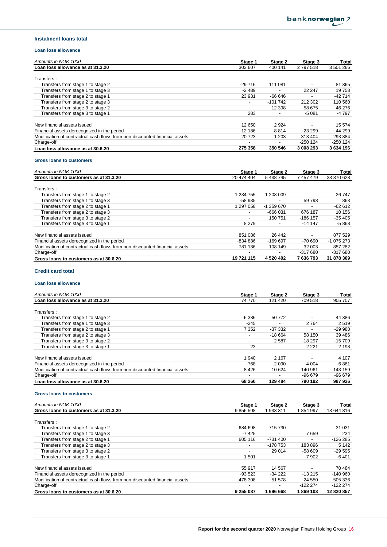#### **Instalment loans total**

#### **Loan loss allowance**

| Amounts in NOK 1000                                                         | Stage 1                  | Stage 2   | Stage 3                  | Total      |
|-----------------------------------------------------------------------------|--------------------------|-----------|--------------------------|------------|
| Loan loss allowance as at 31.3.20                                           | 303 607                  | 400 141   | 2 797 518                | 3 501 266  |
| Transfers:                                                                  |                          |           |                          |            |
| Transfers from stage 1 to stage 2                                           | $-29716$                 | 111 081   |                          | 81 365     |
| Transfers from stage 1 to stage 3                                           | -2 489                   |           | 22 247                   | 19 758     |
| Transfers from stage 2 to stage 1                                           | 23 931                   | -66 646   | $\overline{\phantom{0}}$ | $-42714$   |
| Transfers from stage 2 to stage 3                                           | $\overline{\phantom{0}}$ | $-101742$ | 212 302                  | 110 560    |
| Transfers from stage 3 to stage 2                                           |                          | 12 3 98   | -58 675                  | -46 276    |
| Transfers from stage 3 to stage 1                                           | 283                      |           | $-5081$                  | -4 797     |
| New financial assets issued                                                 | 12 650                   | 2924      |                          | 15 574     |
| Financial assets derecognized in the period                                 | -12 186                  | $-8.814$  | $-23299$                 | $-44299$   |
| Modification of contractual cash flows from non-discounted financial assets | $-20723$                 | 1 203     | 313 404                  | 293884     |
| Charge-off                                                                  |                          |           | $-250$ 124               | $-250$ 124 |
| Loan loss allowance as at 30.6.20                                           | 275 358                  | 350 546   | 3 008 293                | 3 634 196  |

#### **Gross loans to customers**

| Amounts in NOK 1000                                                         | Stage 1                  | Stage 2                  | Stage 3                  | Total      |
|-----------------------------------------------------------------------------|--------------------------|--------------------------|--------------------------|------------|
| Gross loans to customers as at 31.3.20                                      | 20 474 404               | 5 438 745                | 7 457 479                | 33 370 628 |
| Transfers:                                                                  |                          |                          |                          |            |
| Transfers from stage 1 to stage 2                                           | -1 234 755               | 1 208 009                |                          | $-26747$   |
| Transfers from stage 1 to stage 3                                           | -58 935                  |                          | 59 798                   | 863        |
| Transfers from stage 2 to stage 1                                           | 1 297 058                | $-1.359670$              |                          | $-62612$   |
| Transfers from stage 2 to stage 3                                           | $\overline{\phantom{a}}$ | $-666031$                | 676 187                  | 10 156     |
| Transfers from stage 3 to stage 2                                           | $\overline{\phantom{0}}$ | 150 751                  | $-186$ 157               | $-35405$   |
| Transfers from stage 3 to stage 1                                           | 8 2 7 9                  |                          | $-14147$                 | $-5868$    |
|                                                                             |                          |                          |                          |            |
| New financial assets issued                                                 | 851 086                  | 26 442                   | $\overline{\phantom{0}}$ | 877 529    |
| Financial assets derecognized in the period                                 | -834 886                 | $-16969$                 | $-70690$                 | $-1075273$ |
| Modification of contractual cash flows from non-discounted financial assets | -781 136                 | $-108149$                | 32 003                   | $-857282$  |
| Charge-off                                                                  |                          | $\overline{\phantom{0}}$ | $-317680$                | $-317680$  |
| Gross loans to customers as at 30.6.20                                      | 19 721 115               | 4 520 402                | 7 636 793                | 31 878 309 |

#### **Credit card total**

#### **Loan loss allowance**

| Amounts in NOK 1000                                                         | Stage 1 | Stage 2  | Stage 3  | Total    |
|-----------------------------------------------------------------------------|---------|----------|----------|----------|
| Loan loss allowance as at 31.3.20                                           | 74 770  | 121 420  | 709 518  | 905 707  |
| Transfers:                                                                  |         |          |          |          |
| Transfers from stage 1 to stage 2                                           | $-6386$ | 50 772   |          | 44 386   |
| Transfers from stage 1 to stage 3                                           | $-245$  |          | 2 7 6 4  | 2519     |
| Transfers from stage 2 to stage 1                                           | 7 3 5 2 | -37 332  |          | $-29990$ |
| Transfers from stage 2 to stage 3                                           |         | $-18664$ | 58 150   | 39 4 86  |
| Transfers from stage 3 to stage 2                                           |         | 2587     | $-18297$ | $-15709$ |
| Transfers from stage 3 to stage 1                                           | 23      |          | $-2221$  | $-2198$  |
|                                                                             |         |          |          |          |
| New financial assets issued                                                 | 1940    | 2 1 6 7  |          | 4 107    |
| Financial assets derecognized in the period                                 | $-768$  | $-2090$  | $-4004$  | $-6861$  |
| Modification of contractual cash flows from non-discounted financial assets | $-8426$ | 10 624   | 140 961  | 143 159  |
| Charge-off                                                                  |         |          | $-96679$ | $-96679$ |
| Loan loss allowance as at 30.6.20                                           | 68 260  | 129 484  | 790 192  | 987 936  |

#### **Gross loans to customers**

| Amounts in NOK 1000                                                         | Stage 1                  | Stage 2   | Stage 3   | Total      |
|-----------------------------------------------------------------------------|--------------------------|-----------|-----------|------------|
| Gross loans to customers as at 31.3.20                                      | 9 856 508                | 933 311   | 854 997   | 13 644 816 |
| Transfers:                                                                  |                          |           |           |            |
| Transfers from stage 1 to stage 2                                           | $-684698$                | 715 730   |           | 31 031     |
| Transfers from stage 1 to stage 3                                           | $-7425$                  |           | 7659      | 234        |
| Transfers from stage 2 to stage 1                                           | 605 116                  | -731 400  |           | $-126285$  |
| Transfers from stage 2 to stage 3                                           | $\overline{\phantom{0}}$ | -178 753  | 183896    | 5 1 4 2    |
| Transfers from stage 3 to stage 2                                           |                          | 29 014    | $-58609$  | $-29595$   |
| Transfers from stage 3 to stage 1                                           | 1501                     |           | -7 902    | -6 401     |
| New financial assets issued                                                 | 55 917                   | 14 567    |           | 70 484     |
| Financial assets derecognized in the period                                 | -93 523                  | $-34222$  | $-13215$  | $-140960$  |
| Modification of contractual cash flows from non-discounted financial assets | -478 308                 | $-51578$  | 24 550    | $-505336$  |
| Charge-off                                                                  |                          |           | $-122224$ | $-122224$  |
| Gross loans to customers as at 30.6.20                                      | 9 255 087                | 1 696 668 | 1 869 103 | 12 820 857 |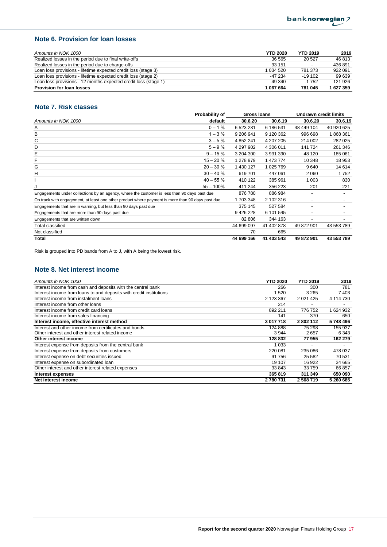## **Note 6. Provision for loan losses**

| Amounts in NOK 1000                                             | <b>YTD 2020</b> | <b>YTD 2019</b>          | 2019    |
|-----------------------------------------------------------------|-----------------|--------------------------|---------|
| Realized losses in the period due to final write-offs           | 36 565          | 20 527                   | 46 813  |
| Realized losses in the period due to charge-offs                | 93 151          | $\overline{\phantom{a}}$ | 436 891 |
| Loan loss provisions - lifetime expected credit loss (stage 3)  | 1 034 520       | 781 373                  | 922 091 |
| Loan loss provisions - lifetime expected credit loss (stage 2)  | $-47234$        | $-19102$                 | 99 639  |
| Loan loss provisions - 12 months expected credit loss (stage 1) | $-49.340$       | $-1752$                  | 121 926 |
| <b>Provision for loan losses</b>                                | 1 067 664       | 781 045                  | 1627359 |

## **Note 7. Risk classes**

|                                                                                                  | Probability of<br>Gross Ioans |            | <b>Undrawn credit limits</b> |                          |            |
|--------------------------------------------------------------------------------------------------|-------------------------------|------------|------------------------------|--------------------------|------------|
| Amounts in NOK 1000                                                                              | default                       | 30.6.20    | 30.6.19                      | 30.6.20                  | 30.6.19    |
| Α                                                                                                | $0 - 1%$                      | 6 523 231  | 6 186 531                    | 48 449 104               | 40 920 625 |
| в                                                                                                | $1 - 3%$                      | 9 206 941  | 9 120 362                    | 996 698                  | 1868361    |
| С                                                                                                | $3 - 5%$                      | 4 852 241  | 4 207 205                    | 214 002                  | 282 025    |
| D                                                                                                | $5 - 9%$                      | 4 297 902  | 4 306 011                    | 141 724                  | 261 346    |
| Е                                                                                                | $9 - 15%$                     | 3 204 300  | 3 931 390                    | 48 120                   | 185 061    |
| F                                                                                                | $15 - 20%$                    | 1 278 979  | 1 473 774                    | 10 348                   | 18 953     |
| G                                                                                                | $20 - 30%$                    | 1 430 127  | 1 025 769                    | 9640                     | 14 614     |
| н                                                                                                | $30 - 40%$                    | 619701     | 447 061                      | 2 0 6 0                  | 1752       |
|                                                                                                  | $40 - 55%$                    | 410 122    | 385 961                      | 1 0 0 3                  | 830        |
| J                                                                                                | $55 - 100\%$                  | 411 244    | 356 223                      | 201                      | 221        |
| Engagements under collections by an agency, where the customer is less than 90 days past due     |                               | 876 780    | 886 984                      | $\overline{\phantom{0}}$ |            |
| On track with engagement, at least one other product where payment is more than 90 days past due |                               | 1703348    | 2 102 316                    | $\overline{\phantom{0}}$ |            |
| Engagements that are in warning, but less than 90 days past due                                  |                               | 375 145    | 527 584                      | $\overline{\phantom{a}}$ |            |
| Engagements that are more than 90 days past due                                                  |                               | 9 426 228  | 6 101 545                    | ٠                        |            |
| Engagements that are written down                                                                |                               | 82 806     | 344 163                      | $\overline{\phantom{a}}$ |            |
| Total classified                                                                                 |                               | 44 699 097 | 41 402 878                   | 49 872 901               | 43 553 789 |
| Not classified                                                                                   |                               | 70         | 665                          |                          |            |
| Total                                                                                            |                               | 44 699 166 | 41 403 543                   | 49 872 901               | 43 553 789 |

Risk is grouped into PD bands from A to J, with A being the lowest risk.

# **Note 8. Net interest income**

| Amounts in NOK 1000                                                 | <b>YTD 2020</b> | <b>YTD 2019</b> | 2019      |
|---------------------------------------------------------------------|-----------------|-----------------|-----------|
| Interest income from cash and deposits with the central bank        | 266             | 300             | 781       |
| Interest income from loans to and deposits with credit institutions | 520             | 3 2 6 5         | 7403      |
| Interest income from instalment loans                               | 2 123 367       | 2 0 21 4 25     | 4 114 730 |
| Interest income from other loans                                    | 214             | ۰               |           |
| Interest income from credit card loans                              | 892 211         | 776 752         | 1 624 932 |
| Interest income from sales financing                                | 141             | 370             | 650       |
| Interest income, effective interest method                          | 3 017 718       | 2802112         | 5748496   |
| Interest and other income from certificates and bonds               | 124 888         | 75 298          | 155 937   |
| Other interest and other interest related income                    | 3944            | 2657            | 6 3 4 3   |
| Other interest income                                               | 128 832         | 77955           | 162 279   |
| Interest expense from deposits from the central bank                | 1 033           |                 |           |
| Interest expense from deposits from customers                       | 220 081         | 235 086         | 478 037   |
| Interest expense on debt securities issued                          | 91 756          | 25 5 82         | 70 531    |
| Interest expense on subordinated loan                               | 19 107          | 16 922          | 34 665    |
| Other interest and other interest related expenses                  | 33 843          | 33 759          | 66 857    |
| Interest expenses                                                   | 365 819         | 311 349         | 650 090   |
| Net interest income                                                 | 2 780 731       | 2568719         | 5 260 685 |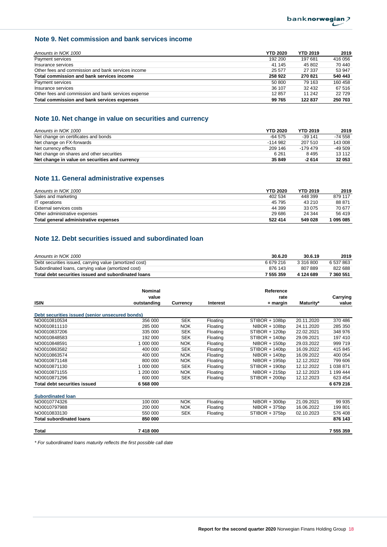# **Note 9. Net commission and bank services income**

| Amounts in NOK 1000                                 | <b>YTD 2020</b> | <b>YTD 2019</b> | 2019    |
|-----------------------------------------------------|-----------------|-----------------|---------|
| Payment services                                    | 192 200         | 197 681         | 416 056 |
| Insurance services                                  | 41 145          | 45 802          | 70 440  |
| Other fees and commission and bank services income  | 25 577          | 27 337          | 53 947  |
| Total commission and bank services income           | 258 922         | 270 821         | 540 443 |
| Payment services                                    | 50 800          | 79 163          | 160 458 |
| Insurance services                                  | 36 107          | 32 432          | 67 516  |
| Other fees and commission and bank services expense | 12857           | 11 242          | 22729   |
| Total commission and bank services expenses         | 99 765          | 122 837         | 250 703 |

## **Note 10. Net change in value on securities and currency**

| Amounts in NOK 1000                            | <b>YTD 2020</b> | <b>YTD 2019</b> | 2019      |
|------------------------------------------------|-----------------|-----------------|-----------|
| Net change on certificates and bonds           | $-64.575$       | $-39.141$       | $-74.558$ |
| Net change on FX-forwards                      | $-114.982$      | 207 510         | 143 008   |
| Net currency effects                           | 209 146         | $-179.479$      | $-49.509$ |
| Net change on shares and other securities      | 6 2 6 1         | 8495            | 13 112    |
| Net change in value on securities and currency | 35 849          | $-2614$         | 32 053    |

## **Note 11. General administrative expenses**

| Amounts in NOK 1000                   | <b>YTD 2020</b> | <b>YTD 2019</b> | 2019      |
|---------------------------------------|-----------------|-----------------|-----------|
| Sales and marketing                   | 402 534         | 448 399         | 879 117   |
| IT operations                         | 45 795          | 43 210          | 88 871    |
| External services costs               | 44 399          | 33 075          | 70 677    |
| Other administrative expenses         | 29 686          | 24 344          | 56 419    |
| Total general administrative expenses | 522 414         | 549 028         | 1 095 085 |

# **Note 12. Debt securities issued and subordinated loan**

| Amounts in NOK 1000                                     | 30.6.20   | 30.6.19   | 2019      |
|---------------------------------------------------------|-----------|-----------|-----------|
| Debt securities issued, carrying value (amortized cost) | 6679216   | 3 316 800 | 6 537 863 |
| Subordinated loans, carrying value (amortized cost)     | 876 143   | 807889    | 822 688   |
| Total debt securities issued and subordinated loans     | 7 555 359 | 4 124 689 | 7 360 551 |

|                                                 | <b>Nominal</b> |            |          | Reference       |            |           |
|-------------------------------------------------|----------------|------------|----------|-----------------|------------|-----------|
|                                                 | value          |            |          | rate            |            | Carrying  |
| <b>ISIN</b>                                     | outstanding    | Currency   | Interest | + margin        | Maturity*  | value     |
| Debt securities issued (senior unsecured bonds) |                |            |          |                 |            |           |
| NO0010810534                                    | 356 000        | <b>SEK</b> | Floating | STIBOR + 108bp  | 20.11.2020 | 370 486   |
| NO0010811110                                    | 285 000        | <b>NOK</b> | Floating | NIBOR + 108bp   | 24.11.2020 | 285 350   |
| NO0010837206                                    | 335 000        | <b>SEK</b> | Floating | STIBOR + 120bp  | 22.02.2021 | 348 976   |
| NO0010848583                                    | 192 000        | <b>SEK</b> | Floating | STIBOR + 140bp  | 29.09.2021 | 197 410   |
| NO0010848591                                    | 1 000 000      | <b>NOK</b> | Floating | $NIBOR + 150bp$ | 29.03.2022 | 999 719   |
| NO0010863582                                    | 400 000        | <b>SEK</b> | Floating | STIBOR + 140bp  | 16.09.2022 | 415 845   |
| NO0010863574                                    | 400 000        | <b>NOK</b> | Floating | $NIBOR + 140bp$ | 16.09.2022 | 400 054   |
| NO0010871148                                    | 800 000        | <b>NOK</b> | Floating | $NIBOR + 195bp$ | 12.12.2022 | 799 606   |
| NO0010871130                                    | 1 000 000      | <b>SEK</b> | Floating | STIBOR + 190bp  | 12.12.2022 | 1 038 871 |
| NO0010871155                                    | 1 200 000      | <b>NOK</b> | Floating | $NIBOR + 215bp$ | 12.12.2023 | 1 199 444 |
| NO0010871296                                    | 600 000        | <b>SEK</b> | Floating | STIBOR + 200bp  | 12.12.2023 | 623 454   |
| <b>Total debt securities issued</b>             | 6 568 000      |            |          |                 |            | 6679216   |
|                                                 |                |            |          |                 |            |           |
| <b>Subordinated loan</b>                        |                |            |          |                 |            |           |
| NO0010774326                                    | 100 000        | <b>NOK</b> | Floating | $NIBOR + 300bp$ | 21.09.2021 | 99 935    |
| NO0010797988                                    | 200 000        | <b>NOK</b> | Floating | $NIBOR + 375bp$ | 16.06.2022 | 199 801   |
| NO0010833130                                    | 550 000        | <b>SEK</b> | Floating | STIBOR + 375bp  | 02.10.2023 | 576 408   |
| <b>Total subordinated loans</b>                 | 850 000        |            |          |                 |            | 876 143   |
| Total                                           | 7 418 000      |            |          |                 |            | 7 555 359 |

*\* For subordinated loans maturity reflects the first possible call date*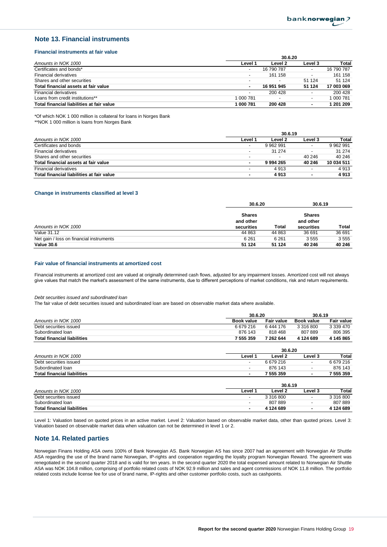#### **Note 13. Financial instruments**

#### **Financial instruments at fair value**

|                                           | 30.6.20                  |                          |                          |            |  |
|-------------------------------------------|--------------------------|--------------------------|--------------------------|------------|--|
| Amounts in NOK 1000                       | Level 1                  | Level 2                  | Level 3                  | Total      |  |
| Certificates and bonds*                   | $\overline{\phantom{a}}$ | 16 790 787               | -                        | 16 790 787 |  |
| Financial derivatives                     | $\overline{\phantom{a}}$ | 161 158                  |                          | 161 158    |  |
| Shares and other securities               |                          | $\overline{\phantom{a}}$ | 51 1 24                  | 51 1 24    |  |
| Total financial assets at fair value      |                          | 16 951 945               | 51 124                   | 17 003 069 |  |
| Financial derivatives                     | $\overline{\phantom{a}}$ | 200 428                  |                          | 200 428    |  |
| Loans from credit institutions**          | 1 000 781                |                          | $\overline{\phantom{0}}$ | 000 781    |  |
| Total financial liabilities at fair value | l 000 781                | 200 428                  | ۰                        | 1 201 209  |  |

\*Of which NOK 1 000 million is collateral for loans in Norges Bank

\*\*NOK 1 000 million is loans from Norges Bank

|                                           | 30.6.19                  |                          |         |            |  |
|-------------------------------------------|--------------------------|--------------------------|---------|------------|--|
| Amounts in NOK 1000                       | Level 1                  | Level 2                  | Level 3 | Total      |  |
| Certificates and bonds                    | ٠                        | 9 962 991                |         | 9 962 991  |  |
| <b>Financial derivatives</b>              | $\overline{\phantom{a}}$ | 31 274                   |         | 31 274     |  |
| Shares and other securities               | $\overline{\phantom{0}}$ | $\overline{\phantom{a}}$ | 40 246  | 40 246     |  |
| Total financial assets at fair value      | ٠                        | 9994265                  | 40 246  | 10 034 511 |  |
| <b>Financial derivatives</b>              | $\overline{\phantom{0}}$ | 4 9 1 3                  |         | 4 9 1 3    |  |
| Total financial liabilities at fair value | $\blacksquare$           | 4913                     |         | 4913       |  |

#### **Change in instruments classified at level 3**

|                                          | 30.6.20                                  |         | 30.6.19                                  |        |
|------------------------------------------|------------------------------------------|---------|------------------------------------------|--------|
| Amounts in NOK 1000                      | <b>Shares</b><br>and other<br>securities | Total   | <b>Shares</b><br>and other<br>securities | Total  |
| Value 31.12                              | 44 863                                   | 44 863  | 36 691                                   | 36 691 |
| Net gain / loss on financial instruments | 6 2 6 1                                  | 6 2 6 1 | 3555                                     | 3555   |
| <b>Value 30.6</b>                        | 51 124                                   | 51 124  | 40 246                                   | 40 246 |

#### **Fair value of financial instruments at amortized cost**

Financial instruments at amortized cost are valued at originally determined cash flows, adjusted for any impairment losses. Amortized cost will not always give values that match the market's assessment of the same instruments, due to different perceptions of market conditions, risk and return requirements.

#### *Debt securities issued and subordinated loan*

The fair value of debt securities issued and subordinated loan are based on observable market data where available.

|                                    | 30.6.20                  |                    | 30.6.19                  |                   |
|------------------------------------|--------------------------|--------------------|--------------------------|-------------------|
| Amounts in NOK 1000                | <b>Book value</b>        | <b>Fair value</b>  | <b>Book value</b>        | <b>Fair value</b> |
| Debt securities issued             | 6 679 216                | 6444 176           | 3 316 800                | 3 339 470         |
| Subordinated loan                  | 876 143                  | 818 468            | 807889                   | 806 395           |
| <b>Total financial liabilities</b> | 7 555 359                | 7 262 644          | 4 124 689                | 4 145 865         |
|                                    |                          | 30.6.20            |                          |                   |
| Amounts in NOK 1000                | Level 1                  | Level 2            | Level 3                  | Total             |
| Debt securities issued             | ٠                        | 6 679 216          | $\overline{\phantom{0}}$ | 6 679 216         |
| Subordinated loan                  | ٠                        | 876 143            | $\overline{\phantom{a}}$ | 876 143           |
| <b>Total financial liabilities</b> | ۰                        | 7 555 359          | ٠                        | 7 555 359         |
|                                    |                          | 30.6.19            |                          |                   |
| Amounts in NOK 1000                | Level 1                  | Level <sub>2</sub> | Level 3                  | Total             |
| Debt securities issued             | ٠                        | 3 316 800          | $\overline{\phantom{0}}$ | 3 316 800         |
| Subordinated Ioan                  | $\overline{\phantom{a}}$ | 807889             | $\overline{\phantom{0}}$ | 807889            |
| <b>Total financial liabilities</b> | ٠                        | 4 124 689          | ۰                        | 4 124 689         |

Level 1: Valuation based on quoted prices in an active market. Level 2: Valuation based on observable market data, other than quoted prices. Level 3: Valuation based on observable market data when valuation can not be determined in level 1 or 2.

#### **Note 14. Related parties**

Norwegian Finans Holding ASA owns 100% of Bank Norwegian AS. Bank Norwegian AS has since 2007 had an agreement with Norwegian Air Shuttle ASA regarding the use of the brand name Norwegian, IP-rights and cooperation regarding the loyalty program Norwegian Reward. The agreement was renegotiated in the second quarter 2018 and is valid for ten years. In the second quarter 2020 the total expensed amount related to Norwegian Air Shuttle ASA was NOK 104.8 million, comprising of portfolio related costs of NOK 92.9 million and sales and agent commissions of NOK 11.8 million. The portfolio related costs include license fee for use of brand name, IP-rights and other customer portfolio costs, such as cashpoints.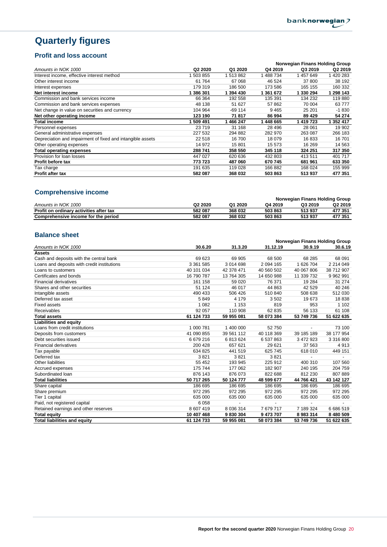# **Quarterly figures**

# **Profit and loss account**

|                                                            |                     |           |           | <b>Norwegian Finans Holding Group</b> |                     |
|------------------------------------------------------------|---------------------|-----------|-----------|---------------------------------------|---------------------|
| Amounts in NOK 1000                                        | Q <sub>2</sub> 2020 | Q1 2020   | Q4 2019   | Q3 2019                               | Q <sub>2</sub> 2019 |
| Interest income, effective interest method                 | 503 855             | 1 513 862 | 1488734   | 1457649                               | 420 283             |
| Other interest income                                      | 61 764              | 67 068    | 46 524    | 37 800                                | 38 192              |
| Interest expenses                                          | 179 319             | 186 500   | 173 586   | 165 155                               | 160 332             |
| Net interest income                                        | 1 386 301           | 1 394 430 | 1 361 672 | 1 330 294                             | 1 298 143           |
| Commission and bank services income                        | 66 364              | 192 558   | 135 391   | 134 232                               | 119880              |
| Commission and bank services expenses                      | 48 138              | 51 627    | 57862     | 70 004                                | 63777               |
| Net change in value on securities and currency             | 104 964             | -69 114   | 9465      | 25 201                                | $-1830$             |
| Net other operating income                                 | 123 190             | 71817     | 86 994    | 89 4 29                               | 54 274              |
| <b>Total income</b>                                        | 509 491             | 1 466 247 | 1448665   | 1 419 723                             | 1 352 417           |
| Personnel expenses                                         | 23719               | 31 168    | 28 4 9 6  | 28 061                                | 19 902              |
| General administrative expenses                            | 227 532             | 294 882   | 282 970   | 263 087                               | 266 183             |
| Depreciation and impairment of fixed and intangible assets | 22 518              | 16 700    | 18 079    | 16833                                 | 16701               |
| Other operating expenses                                   | 14 972              | 15 801    | 15 573    | 16 269                                | 14 563              |
| <b>Total operating expenses</b>                            | 288 741             | 358 550   | 345 118   | 324 251                               | 317 350             |
| Provision for loan losses                                  | 447 027             | 620 636   | 432 803   | 413 511                               | 401 717             |
| <b>Profit before tax</b>                                   | 773 723             | 487 060   | 670 745   | 681 961                               | 633 350             |
| Tax charge                                                 | 191 635             | 119 028   | 166882    | 168 024                               | 155 999             |
| <b>Profit after tax</b>                                    | 582 087             | 368 032   | 503 863   | 513937                                | 477 351             |

# **Comprehensive income**

|                                         |                     |         |         | Norwegian Finans Holding Group |                     |
|-----------------------------------------|---------------------|---------|---------|--------------------------------|---------------------|
| Amounts in NOK 1000                     | Q <sub>2</sub> 2020 | Q1 2020 | Q4 2019 | Q3 2019                        | Q <sub>2</sub> 2019 |
| Profit on ordinary activities after tax | 582 087             | 368 032 | 503 863 | 513937                         | 477 351             |
| Comprehensive income for the period     | 582 087             | 368 032 | 503 863 | 513937                         | 477 351             |
|                                         |                     |         |         |                                |                     |

## **Balance sheet**

|                                             |            |             |            | Norwegian Finans Holding Group |               |
|---------------------------------------------|------------|-------------|------------|--------------------------------|---------------|
| Amounts in NOK 1000                         | 30.6.20    | 31.3.20     | 31.12.19   | 30.9.19                        | 30.6.19       |
| <b>Assets</b>                               |            |             |            |                                |               |
| Cash and deposits with the central bank     | 69 623     | 69 905      | 68 500     | 68 285                         | 68 091        |
| Loans and deposits with credit institutions | 3 361 585  | 3 0 14 6 98 | 2 094 165  | 1 626 704                      | 2 214 049     |
| Loans to customers                          | 40 101 034 | 42 378 471  | 40 560 502 | 40 067 806                     | 38 712 907    |
| Certificates and bonds                      | 16 790 787 | 13 764 305  | 14 650 988 | 11 339 732                     | 9 9 6 2 9 9 1 |
| <b>Financial derivatives</b>                | 161 158    | 59 0 20     | 76 371     | 19 2 84                        | 31 274        |
| Shares and other securities                 | 51 124     | 46 017      | 44 863     | 42 529                         | 40 246        |
| Intangible assets                           | 490 433    | 506 426     | 510 840    | 508 638                        | 512 030       |
| Deferred tax asset                          | 5849       | 4 1 7 9     | 3502       | 19673                          | 18838         |
| <b>Fixed assets</b>                         | 1 0 8 2    | 1 1 5 3     | 819        | 953                            | 1 1 0 2       |
| Receivables                                 | 92 057     | 110 908     | 62 835     | 56 133                         | 61 108        |
| <b>Total assets</b>                         | 61 124 733 | 59 955 081  | 58 073 384 | 53 749 736                     | 51 622 635    |
| Liabilities and equity                      |            |             |            |                                |               |
| Loans from credit institutions              | 1 000 781  | 1 400 000   | 52750      |                                | 73 100        |
| Deposits from customers                     | 41 090 855 | 39 561 112  | 40 118 369 | 39 185 189                     | 38 177 954    |
| Debt securities issued                      | 6679216    | 6813624     | 6 537 863  | 3 472 923                      | 3 316 800     |
| <b>Financial derivatives</b>                | 200 428    | 657 621     | 29 621     | 37 563                         | 4913          |
| Tax payable                                 | 634 825    | 441 519     | 625 745    | 618 010                        | 449 151       |
| Deferred tax                                | 3821       | 3821        | 3821       |                                |               |
| <b>Other liabilities</b>                    | 55 452     | 193 945     | 225 912    | 400 310                        | 107 560       |
| Accrued expenses                            | 175 744    | 177 062     | 182 907    | 240 195                        | 204 759       |
| Subordinated Ioan                           | 876 143    | 876 073     | 822 688    | 812 230                        | 807889        |
| <b>Total liabilities</b>                    | 50 717 265 | 50 124 777  | 48 599 677 | 44 766 421                     | 43 142 127    |
| Share capital                               | 186 695    | 186 695     | 186 695    | 186 695                        | 186 695       |
| Share premium                               | 972 295    | 972 295     | 972 295    | 972 295                        | 972 295       |
| Tier 1 capital                              | 635 000    | 635 000     | 635 000    | 635 000                        | 635 000       |
| Paid, not registered capital                | 6058       |             |            |                                |               |
| Retained earnings and other reserves        | 8 607 419  | 8 0 36 314  | 7679717    | 7 189 324                      | 6 686 519     |
| <b>Total equity</b>                         | 10 407 468 | 9830304     | 9 473 707  | 8983314                        | 8 480 509     |
| <b>Total liabilities and equity</b>         | 61 124 733 | 59 955 081  | 58 073 384 | 53 749 736                     | 51 622 635    |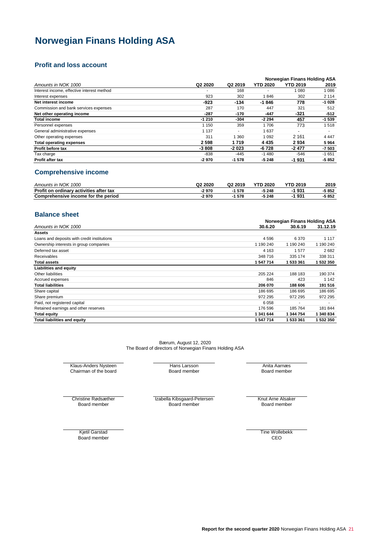# **Norwegian Finans Holding ASA**

## **Profit and loss account**

|                                            |         |                     |                 | Norwegian Finans Holding ASA |         |
|--------------------------------------------|---------|---------------------|-----------------|------------------------------|---------|
| Amounts in NOK 1000                        | Q2 2020 | Q <sub>2</sub> 2019 | <b>YTD 2020</b> | <b>YTD 2019</b>              | 2019    |
| Interest income, effective interest method | ۰       | 168                 |                 | 1 0 8 0                      | 1086    |
| Interest expenses                          | 923     | 302                 | 846             | 302                          | 2 1 1 4 |
| Net interest income                        | $-923$  | $-134$              | $-1846$         | 778                          | $-1028$ |
| Commission and bank services expenses      | 287     | 170                 | 447             | 321                          | 512     |
| Net other operating income                 | $-287$  | -170                | $-447$          | $-321$                       | $-512$  |
| <b>Total income</b>                        | $-1210$ | $-304$              | $-2294$         | 457                          | $-1539$ |
| Personnel expenses                         | 1 1 5 0 | 359                 | 1706            | 773                          | 1518    |
| General administrative expenses            | 1 1 3 7 | $\blacksquare$      | 1637            | $\overline{\phantom{0}}$     | ۰       |
| Other operating expenses                   | 311     | 360                 | 1 0 9 2         | 2 1 6 1                      | 4 4 4 7 |
| <b>Total operating expenses</b>            | 2598    | 1719                | 4 4 3 5         | 2934                         | 5964    |
| Profit before tax                          | $-3808$ | $-2023$             | -6 728          | $-2477$                      | $-7503$ |
| Tax charge                                 | $-838$  | -445                | $-1480$         | $-546$                       | $-1651$ |
| Profit after tax                           | $-2970$ | $-1578$             | $-5248$         | $-1931$                      | $-5852$ |

## **Comprehensive income**

| Amounts in NOK 1000                     | Q <sub>2</sub> 2020 | Q2 2019 | <b>YTD 2020</b> | <b>YTD 2019</b> | 2019  |
|-----------------------------------------|---------------------|---------|-----------------|-----------------|-------|
| Profit on ordinary activities after tax | $-2970$             | 1578    | $-5248$         | 1931            | 5 852 |
| Comprehensive income for the period     | -2 970              | 1578    | $-5248$         | 1931            | 5 852 |

## **Balance sheet**

|                                             |           | Norwegian Finans Holding ASA |           |
|---------------------------------------------|-----------|------------------------------|-----------|
| Amounts in NOK 1000                         | 30.6.20   | 30.6.19                      | 31.12.19  |
| <b>Assets</b>                               |           |                              |           |
| Loans and deposits with credit institutions | 4596      | 6 3 7 0                      | 1 1 1 7   |
| Ownership interests in group companies      | 1 190 240 | 1 190 240                    | 1 190 240 |
| Deferred tax asset                          | 4 1 6 3   | 1577                         | 2682      |
| <b>Receivables</b>                          | 348 716   | 335 174                      | 338 311   |
| <b>Total assets</b>                         | 1 547 714 | 1 533 361                    | 1 532 350 |
| Liabilities and equity                      |           |                              |           |
| Other liabilities                           | 205 224   | 188 183                      | 190 374   |
| Accrued expenses                            | 846       | 423                          | 1 1 4 2   |
| <b>Total liabilities</b>                    | 206 070   | 188 606                      | 191 516   |
| Share capital                               | 186 695   | 186 695                      | 186 695   |
| Share premium                               | 972 295   | 972 295                      | 972 295   |
| Paid, not registered capital                | 6058      |                              |           |
| Retained earnings and other reserves        | 176 596   | 185 764                      | 181 844   |
| <b>Total equity</b>                         | 1 341 644 | 1 344 754                    | 1 340 834 |
| <b>Total liabilities and equity</b>         | 1 547 714 | 1 533 361                    | 1 532 350 |

Bærum, August 12, 2020 The Board of directors of Norwegian Finans Holding ASA

Klaus-Anders Nysteen Chairman of the board

Hans Larsson Board member

Anita Aarnæs Board member

Board member

Christine Rødsæther **Krut Arne Alsaker** Izabella Kibsgaard-Petersen Knut Arne Alsaker Board member

Board member

Kjetil Garstad Board member Tine Wollebekk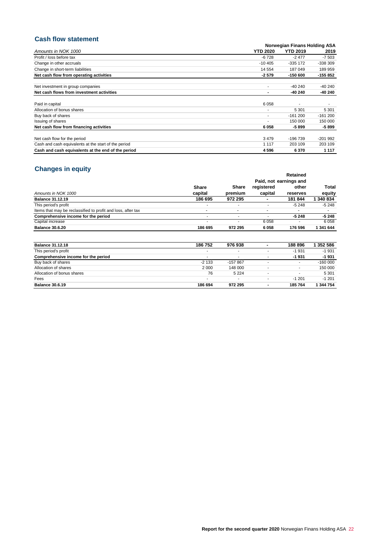# **Cash flow statement**

| ouon non ouatomont                                   |                 |                              |           |
|------------------------------------------------------|-----------------|------------------------------|-----------|
|                                                      |                 | Norwegian Finans Holding ASA |           |
| Amounts in NOK 1000                                  | <b>YTD 2020</b> | <b>YTD 2019</b>              | 2019      |
| Profit / loss before tax                             | $-6728$         | $-2477$                      | $-7503$   |
| Change in other accruals                             | $-10405$        | $-335$ 172                   | $-338309$ |
| Change in short-term liabilities                     | 14 5 54         | 187 049                      | 189 959   |
| Net cash flow from operating activities              | $-2.579$        | $-150600$                    | -155 852  |
| Net investment in group companies                    |                 | $-40240$                     | $-40240$  |
| Net cash flows from investment activities            | ۰               | -40 240                      | -40 240   |
| Paid in capital                                      | 6058            |                              |           |
| Allocation of bonus shares                           |                 | 5 3 0 1                      | 5 3 0 1   |
| Buy back of shares                                   |                 | $-161200$                    | $-161200$ |
| Issuing of shares                                    |                 | 150 000                      | 150 000   |
| Net cash flow from financing activities              | 6058            | $-5899$                      | -5 899    |
| Net cash flow for the period                         | 3479            | $-196739$                    | $-201992$ |
| Cash and cash equivalents at the start of the period | 1 1 1 7         | 203 109                      | 203 109   |
| Cash and cash equivalents at the end of the period   | 4596            | 6370                         | 1 1 1 7   |

# **Changes in equity**

| <b>PHANSO III VYMIT</b>                                      |                          |              |                          | Retained               |           |
|--------------------------------------------------------------|--------------------------|--------------|--------------------------|------------------------|-----------|
|                                                              |                          |              |                          | Paid, not earnings and |           |
|                                                              | <b>Share</b>             | <b>Share</b> | registered               | other                  | Total     |
| Amounts in NOK 1000                                          | capital                  | premium      | capital                  | reserves               | equity    |
| <b>Balance 31.12.19</b>                                      | 186 695                  | 972 295      |                          | 181 844                | 340 834   |
| This period's profit                                         |                          | ٠            |                          | $-5248$                | $-5248$   |
| Items that may be reclassified to profit and loss, after tax | $\overline{\phantom{a}}$ | ۰            | $\overline{\phantom{0}}$ |                        |           |
| Comprehensive income for the period                          |                          | ٠            |                          | $-5248$                | $-5248$   |
| Capital increase                                             |                          | ٠            | 6058                     | ۰                      | 6058      |
| <b>Balance 30.6.20</b>                                       | 186 695                  | 972 295      | 6058                     | 176 596                | 1 341 644 |
|                                                              |                          |              |                          |                        |           |
|                                                              |                          |              |                          |                        |           |

| <b>Balance 31.12.18</b>             | 186 752                  | 976938    | ٠ | 188 896                  | 352 586   |
|-------------------------------------|--------------------------|-----------|---|--------------------------|-----------|
| This period's profit                | $\overline{\phantom{a}}$ |           | ٠ | $-1931$                  | $-1931$   |
| Comprehensive income for the period |                          | ۰         |   | $-1931$                  | $-1931$   |
| Buy back of shares                  | $-2133$                  | $-157867$ |   | ٠                        | $-16000$  |
| Allocation of shares                | 2 0 0 0                  | 148 000   |   |                          | 150 000   |
| Allocation of bonus shares          | 76                       | 5 2 2 4   |   | $\overline{\phantom{a}}$ | 5 3 0 1   |
| Fees                                |                          | ۰         |   | $-1201$                  | $-1201$   |
| <b>Balance 30.6.19</b>              | 186 694                  | 972 295   |   | 185 764                  | 1 344 754 |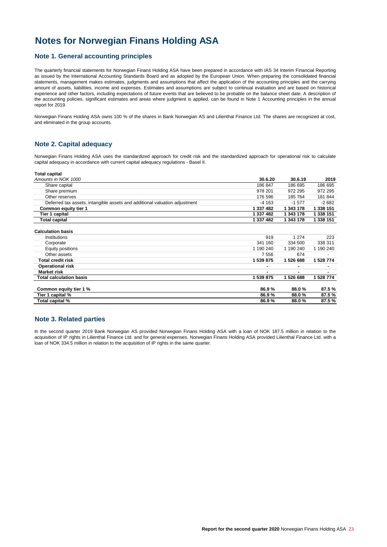# **Notes for Norwegian Finans Holding ASA**

#### **Note 1. General accounting principles**

The quarterly financial statements for Norwegian Finans Holding ASA have been prepared in accordance with IAS 34 Interim Financial Reporting as issued by the International Accounting Standards Board and as adopted by the European Union. When preparing the consolidated financial statements, management makes estimates, judgments and assumptions that affect the application of the accounting principles and the carrying amount of assets, liabilities, income and expenses. Estimates and assumptions are subject to continual evaluation and are based on historical experience and other factors, including expectations of future events that are believed to be probable on the balance sheet date. A description of the accounting policies, significant estimates and areas where judgment is applied, can be found in Note 1 Accounting principles in the annual report for 2019.

Norwegian Finans Holding ASA owns 100 % of the shares in Bank Norwegian AS and Lilienthal Finance Ltd. The shares are recognized at cost, and eliminated in the group accounts.

#### **Note 2. Capital adequacy**

Norwegian Finans Holding ASA uses the standardized approach for credit risk and the standardized approach for operational risk to calculate capital adequacy in accordance with current capital adequacy regulations - Basel II.

| Total capital                                                              |           |           |           |
|----------------------------------------------------------------------------|-----------|-----------|-----------|
| Amounts in NOK 1000                                                        | 30.6.20   | 30.6.19   | 2019      |
| Share capital                                                              | 186 847   | 186 695   | 186 695   |
| Share premium                                                              | 978 201   | 972 295   | 972 295   |
| Other reserves                                                             | 176 596   | 185 764   | 181 844   |
| Deferred tax assets, intangible assets and additional valuation adjustment | $-4163$   | $-1577$   | $-2682$   |
| Common equity tier 1                                                       | 1 337 482 | 1 343 178 | 1 338 151 |
| <b>Tier 1 capital</b>                                                      | 1 337 482 | 1 343 178 | 1 338 151 |
| <b>Total capital</b>                                                       | 1 337 482 | 1 343 178 | 1 338 151 |
| <b>Calculation basis</b>                                                   |           |           |           |
| Institutions                                                               | 919       | 1 2 7 4   | 223       |
| Corporate                                                                  | 341 160   | 334 500   | 338 311   |
| Equity positions                                                           | 1 190 240 | 1 190 240 | 1 190 240 |
| Other assets                                                               | 7556      | 674       |           |
| <b>Total credit risk</b>                                                   | 1 539 875 | 1526688   | 1 528 774 |
| <b>Operational risk</b>                                                    |           |           |           |
| <b>Market risk</b>                                                         |           |           |           |
| <b>Total calculation basis</b>                                             | 1 539 875 | 1526688   | 1 528 774 |
| Common equity tier 1 %                                                     | 86.9%     | 88.0%     | 87.5%     |
| Tier 1 capital %                                                           | 86.9%     | 88.0%     | 87.5%     |
| Total capital %                                                            | 86.9%     | 88.0%     | 87.5%     |

#### **Note 3. Related parties**

In the second quarter 2019 Bank Norwegian AS provided Norwegian Finans Holding ASA with a loan of NOK 187.5 million in relation to the acquisition of IP rights in Lilienthal Finance Ltd. and for general expenses. Norwegian Finans Holding ASA provided Lilienthal Finance Ltd. with a loan of NOK 334.5 million in relation to the acquisition of IP rights in the same quarter.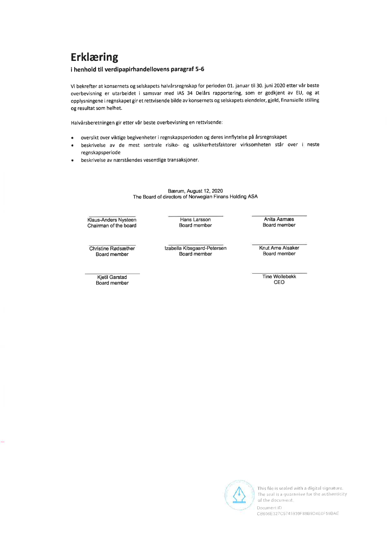# **Erklæring**

#### i henhold til verdipapirhandellovens paragraf 5-6

Vi bekrefter at konsernets og selskapets halvårsregnskap for perioden 01. januar til 30. juni 2020 etter vår beste overbevisning er utarbeidet i samsvar med IAS 34 Delårs rapportering, som er godkjent av EU, og at opplysningene i regnskapet gir et rettvisende bilde av konsernets og selskapets eiendeler, gjeld, finansielle stilling og resultat som helhet.

Halvårsberetningen gir etter vår beste overbevisning en rettvisende:

- oversikt over viktige begivenheter i regnskapsperioden og deres innflytelse på årsregnskapet
- beskrivelse av de mest sentrale risiko- og usikkerhetsfaktorer virksomheten står over i neste regnskapsperiode
- beskrivelse av nærståendes vesentlige transaksjoner.

#### Bærum, August 12, 2020 The Board of directors of Norwegian Finans Holding ASA

Klaus-Anders Nysteen Chairman of the board

Hans Larsson Board member

Anita Aamæs Board member

Christine Rødsæther Board member

> **Kjetil Garstad** Board member

Izabella Kibsgaard-Petersen Board member

Knut Arne Alsaker Board member

**Tine Wollebekk** CEO



This file is sealed with a digital signature. The seal is a guarantee for the authenticity of the document.

Document ID CB606E327C5745939F88B9D4E0F59BAE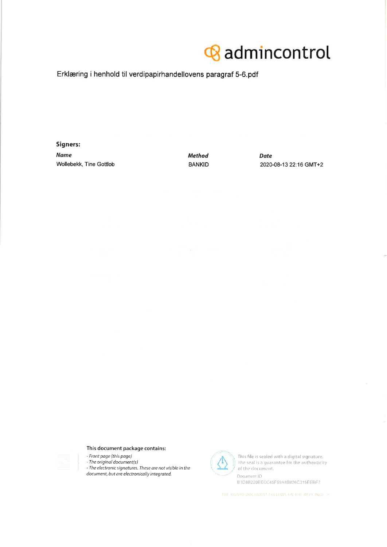# **&** admincontrol

Erklæring i henhold til verdipapirhandellovens paragraf 5-6.pdf

Signers: **Name** Wollebekk, Tine Gottlob

**Method BANKID**  **Date** 2020-08-13 22:16 GMT+2

#### This document package contains:

- Front page (this page)
- The original document(s)
- The electronic signatures. These are not visible in the document, but are electronically integrated.



This file is sealed with a digital signature. The seal is a guarantee for the authenticity of the document. Document ID

B1D8B220EECC45F59A8B826C315EEBF7

THE SIGNED DOCUMENT FOLLOWS ON THE NEXT PAGE >